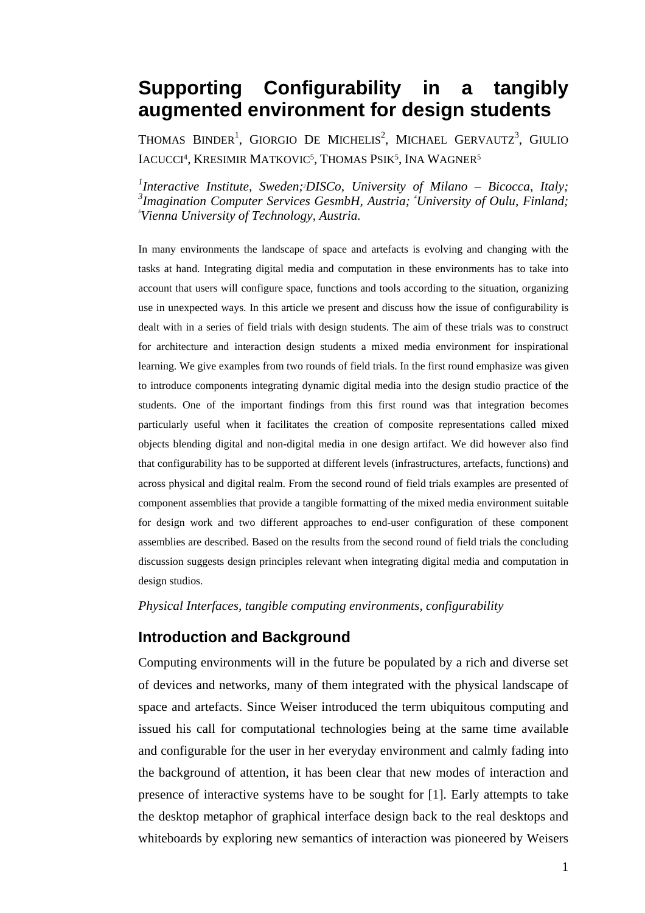# **Supporting Configurability in a tangibly augmented environment for design students**

THOMAS BINDER<sup>1</sup>, GIORGIO DE MICHELIS<sup>2</sup>, MICHAEL GERVAUTZ<sup>3</sup>, GIULIO IACUCCI<sup>4</sup>, KRESIMIR MATKOVIC<sup>5</sup>, THOMAS PSIK<sup>5</sup>, INA WAGNER<sup>5</sup>

<sup>1</sup>Interactive Institute, Sweden;<sup>2</sup>DISCo, University of Milano – Bicocca, Italy; <sup>3</sup> Imagination Computer Services GesmbH, Austria; <sup>4</sup>University of Oulu, Finland;<br><sup>5</sup>V<sub>i</sub> *Vienna University of Technology, Austria.* 

In many environments the landscape of space and artefacts is evolving and changing with the tasks at hand. Integrating digital media and computation in these environments has to take into account that users will configure space, functions and tools according to the situation, organizing use in unexpected ways. In this article we present and discuss how the issue of configurability is dealt with in a series of field trials with design students. The aim of these trials was to construct for architecture and interaction design students a mixed media environment for inspirational learning. We give examples from two rounds of field trials. In the first round emphasize was given to introduce components integrating dynamic digital media into the design studio practice of the students. One of the important findings from this first round was that integration becomes particularly useful when it facilitates the creation of composite representations called mixed objects blending digital and non-digital media in one design artifact. We did however also find that configurability has to be supported at different levels (infrastructures, artefacts, functions) and across physical and digital realm. From the second round of field trials examples are presented of component assemblies that provide a tangible formatting of the mixed media environment suitable for design work and two different approaches to end-user configuration of these component assemblies are described. Based on the results from the second round of field trials the concluding discussion suggests design principles relevant when integrating digital media and computation in design studios.

*Physical Interfaces, tangible computing environments, configurability* 

### **Introduction and Background**

Computing environments will in the future be populated by a rich and diverse set of devices and networks, many of them integrated with the physical landscape of space and artefacts. Since Weiser introduced the term ubiquitous computing and issued his call for computational technologies being at the same time available and configurable for the user in her everyday environment and calmly fading into the background of attention, it has been clear that new modes of interaction and presence of interactive systems have to be sought for [1]. Early attempts to take the desktop metaphor of graphical interface design back to the real desktops and whiteboards by exploring new semantics of interaction was pioneered by Weisers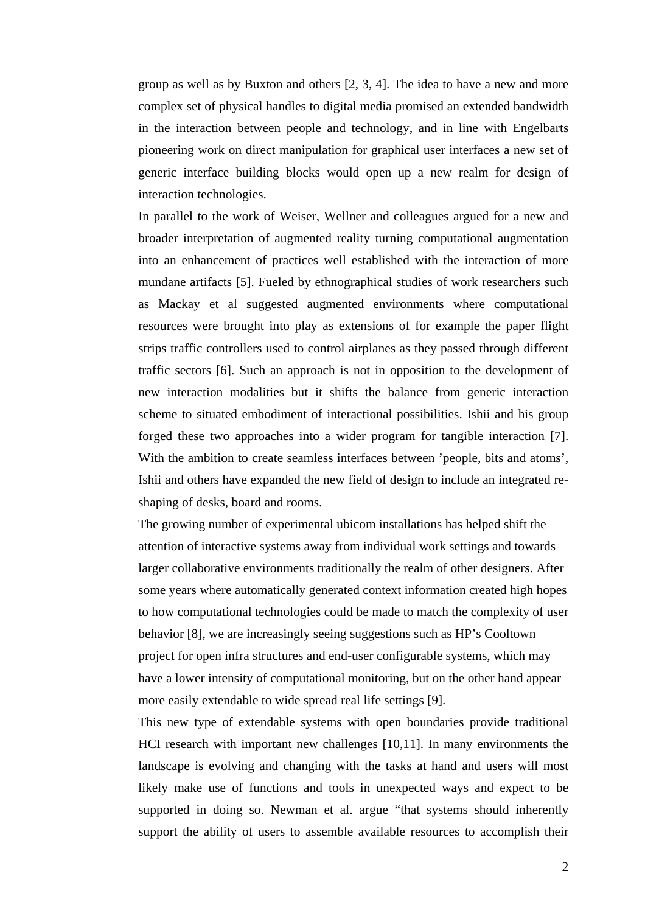group as well as by Buxton and others [2, 3, 4]. The idea to have a new and more complex set of physical handles to digital media promised an extended bandwidth in the interaction between people and technology, and in line with Engelbarts pioneering work on direct manipulation for graphical user interfaces a new set of generic interface building blocks would open up a new realm for design of interaction technologies.

In parallel to the work of Weiser, Wellner and colleagues argued for a new and broader interpretation of augmented reality turning computational augmentation into an enhancement of practices well established with the interaction of more mundane artifacts [5]. Fueled by ethnographical studies of work researchers such as Mackay et al suggested augmented environments where computational resources were brought into play as extensions of for example the paper flight strips traffic controllers used to control airplanes as they passed through different traffic sectors [6]. Such an approach is not in opposition to the development of new interaction modalities but it shifts the balance from generic interaction scheme to situated embodiment of interactional possibilities. Ishii and his group forged these two approaches into a wider program for tangible interaction [7]. With the ambition to create seamless interfaces between 'people, bits and atoms', Ishii and others have expanded the new field of design to include an integrated reshaping of desks, board and rooms.

The growing number of experimental ubicom installations has helped shift the attention of interactive systems away from individual work settings and towards larger collaborative environments traditionally the realm of other designers. After some years where automatically generated context information created high hopes to how computational technologies could be made to match the complexity of user behavior [8], we are increasingly seeing suggestions such as HP's Cooltown project for open infra structures and end-user configurable systems, which may have a lower intensity of computational monitoring, but on the other hand appear more easily extendable to wide spread real life settings [9].

This new type of extendable systems with open boundaries provide traditional HCI research with important new challenges [10,11]. In many environments the landscape is evolving and changing with the tasks at hand and users will most likely make use of functions and tools in unexpected ways and expect to be supported in doing so. Newman et al. argue "that systems should inherently support the ability of users to assemble available resources to accomplish their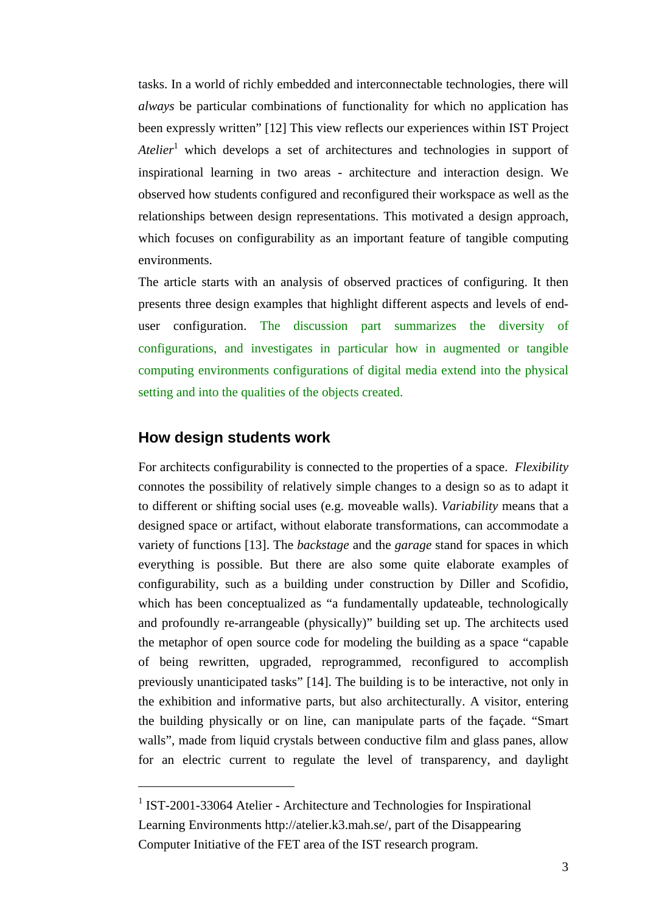tasks. In a world of richly embedded and interconnectable technologies, there will *always* be particular combinations of functionality for which no application has been expressly written" [12] This view reflects our experiences within IST Project Atelier<sup>1</sup> which develops a set of architectures and technologies in support of inspirational learning in two areas - architecture and interaction design. We observed how students configured and reconfigured their workspace as well as the relationships between design representations. This motivated a design approach, which focuses on configurability as an important feature of tangible computing environments.

The article starts with an analysis of observed practices of configuring. It then presents three design examples that highlight different aspects and levels of enduser configuration. The discussion part summarizes the diversity of configurations, and investigates in particular how in augmented or tangible computing environments configurations of digital media extend into the physical setting and into the qualities of the objects created.

#### **How design students work**

 $\overline{a}$ 

For architects configurability is connected to the properties of a space. *Flexibility* connotes the possibility of relatively simple changes to a design so as to adapt it to different or shifting social uses (e.g. moveable walls). *Variability* means that a designed space or artifact, without elaborate transformations, can accommodate a variety of functions [13]. The *backstage* and the *garage* stand for spaces in which everything is possible. But there are also some quite elaborate examples of configurability, such as a building under construction by Diller and Scofidio, which has been conceptualized as "a fundamentally updateable, technologically and profoundly re-arrangeable (physically)" building set up. The architects used the metaphor of open source code for modeling the building as a space "capable of being rewritten, upgraded, reprogrammed, reconfigured to accomplish previously unanticipated tasks" [14]. The building is to be interactive, not only in the exhibition and informative parts, but also architecturally. A visitor, entering the building physically or on line, can manipulate parts of the façade. "Smart walls", made from liquid crystals between conductive film and glass panes, allow for an electric current to regulate the level of transparency, and daylight

<sup>&</sup>lt;sup>1</sup> IST-2001-33064 Atelier - Architecture and Technologies for Inspirational Learning Environments http://atelier.k3.mah.se/, part of the Disappearing Computer Initiative of the FET area of the IST research program.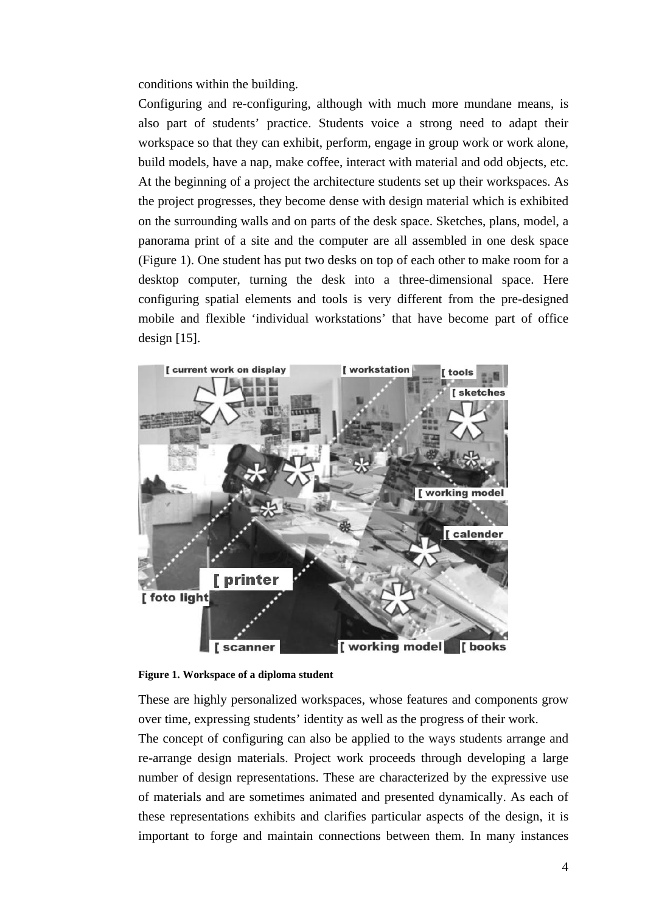conditions within the building.

Configuring and re-configuring, although with much more mundane means, is also part of students' practice. Students voice a strong need to adapt their workspace so that they can exhibit, perform, engage in group work or work alone, build models, have a nap, make coffee, interact with material and odd objects, etc. At the beginning of a project the architecture students set up their workspaces. As the project progresses, they become dense with design material which is exhibited on the surrounding walls and on parts of the desk space. Sketches, plans, model, a panorama print of a site and the computer are all assembled in one desk space (Figure 1). One student has put two desks on top of each other to make room for a desktop computer, turning the desk into a three-dimensional space. Here configuring spatial elements and tools is very different from the pre-designed mobile and flexible 'individual workstations' that have become part of office design [15].



**Figure 1. Workspace of a diploma student** 

These are highly personalized workspaces, whose features and components grow over time, expressing students' identity as well as the progress of their work.

The concept of configuring can also be applied to the ways students arrange and re-arrange design materials. Project work proceeds through developing a large number of design representations. These are characterized by the expressive use of materials and are sometimes animated and presented dynamically. As each of these representations exhibits and clarifies particular aspects of the design, it is important to forge and maintain connections between them. In many instances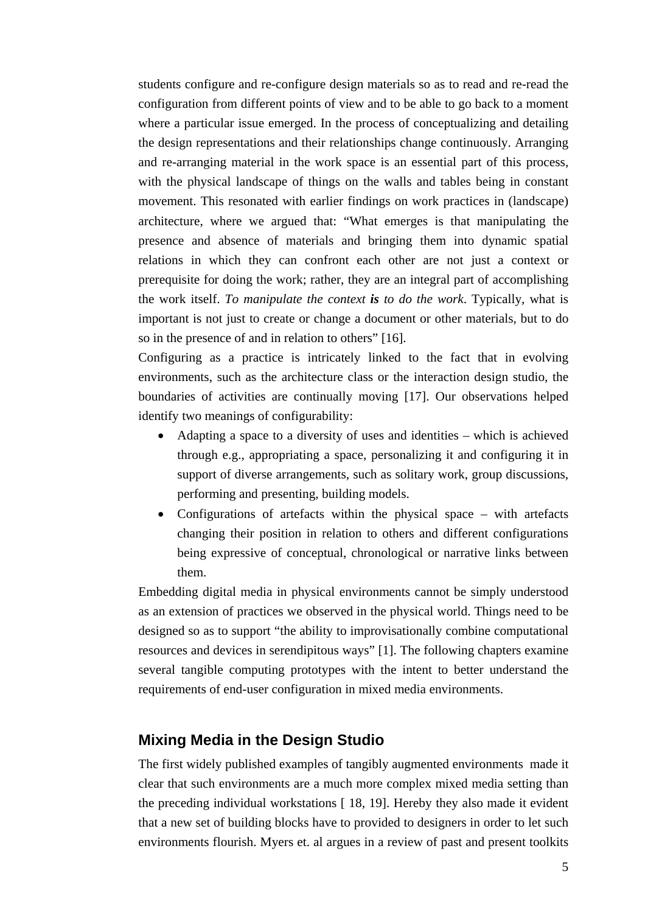students configure and re-configure design materials so as to read and re-read the configuration from different points of view and to be able to go back to a moment where a particular issue emerged. In the process of conceptualizing and detailing the design representations and their relationships change continuously. Arranging and re-arranging material in the work space is an essential part of this process, with the physical landscape of things on the walls and tables being in constant movement. This resonated with earlier findings on work practices in (landscape) architecture, where we argued that: "What emerges is that manipulating the presence and absence of materials and bringing them into dynamic spatial relations in which they can confront each other are not just a context or prerequisite for doing the work; rather, they are an integral part of accomplishing the work itself. *To manipulate the context is to do the work*. Typically, what is important is not just to create or change a document or other materials, but to do so in the presence of and in relation to others" [16].

Configuring as a practice is intricately linked to the fact that in evolving environments, such as the architecture class or the interaction design studio, the boundaries of activities are continually moving [17]. Our observations helped identify two meanings of configurability:

- Adapting a space to a diversity of uses and identities which is achieved through e.g., appropriating a space, personalizing it and configuring it in support of diverse arrangements, such as solitary work, group discussions, performing and presenting, building models.
- Configurations of artefacts within the physical space with artefacts changing their position in relation to others and different configurations being expressive of conceptual, chronological or narrative links between them.

Embedding digital media in physical environments cannot be simply understood as an extension of practices we observed in the physical world. Things need to be designed so as to support "the ability to improvisationally combine computational resources and devices in serendipitous ways" [1]. The following chapters examine several tangible computing prototypes with the intent to better understand the requirements of end-user configuration in mixed media environments.

### **Mixing Media in the Design Studio**

The first widely published examples of tangibly augmented environments made it clear that such environments are a much more complex mixed media setting than the preceding individual workstations [ 18, 19]. Hereby they also made it evident that a new set of building blocks have to provided to designers in order to let such environments flourish. Myers et. al argues in a review of past and present toolkits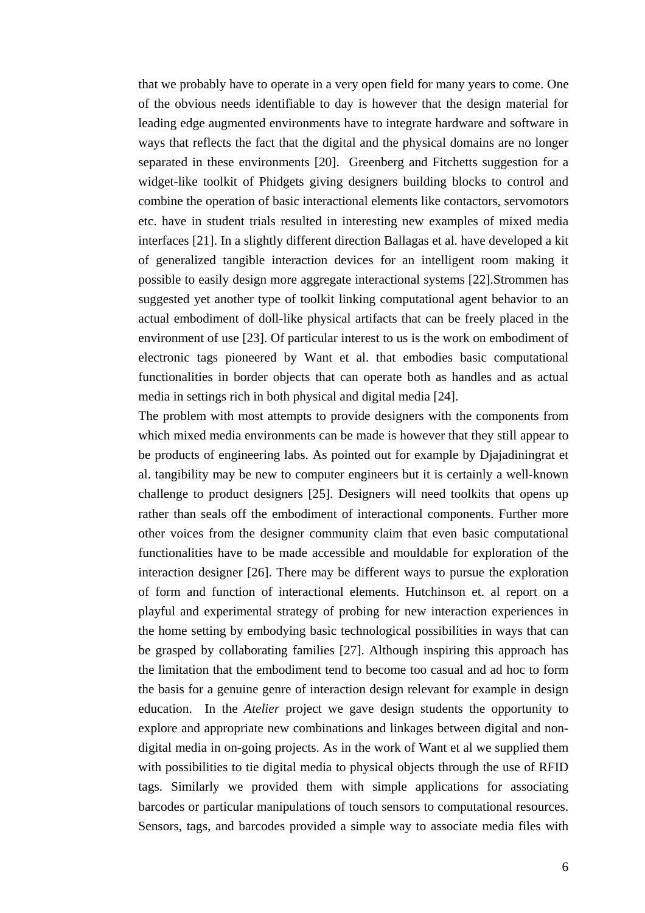that we probably have to operate in a very open field for many years to come. One of the obvious needs identifiable to day is however that the design material for leading edge augmented environments have to integrate hardware and software in ways that reflects the fact that the digital and the physical domains are no longer separated in these environments [20]. Greenberg and Fitchetts suggestion for a widget-like toolkit of Phidgets giving designers building blocks to control and combine the operation of basic interactional elements like contactors, servomotors etc. have in student trials resulted in interesting new examples of mixed media interfaces [21]. In a slightly different direction Ballagas et al. have developed a kit of generalized tangible interaction devices for an intelligent room making it possible to easily design more aggregate interactional systems [22].Strommen has suggested yet another type of toolkit linking computational agent behavior to an actual embodiment of doll-like physical artifacts that can be freely placed in the environment of use [23]. Of particular interest to us is the work on embodiment of electronic tags pioneered by Want et al. that embodies basic computational functionalities in border objects that can operate both as handles and as actual media in settings rich in both physical and digital media [24].

The problem with most attempts to provide designers with the components from which mixed media environments can be made is however that they still appear to be products of engineering labs. As pointed out for example by Djajadiningrat et al. tangibility may be new to computer engineers but it is certainly a well-known challenge to product designers [25]. Designers will need toolkits that opens up rather than seals off the embodiment of interactional components. Further more other voices from the designer community claim that even basic computational functionalities have to be made accessible and mouldable for exploration of the interaction designer [26]. There may be different ways to pursue the exploration of form and function of interactional elements. Hutchinson et. al report on a playful and experimental strategy of probing for new interaction experiences in the home setting by embodying basic technological possibilities in ways that can be grasped by collaborating families [27]. Although inspiring this approach has the limitation that the embodiment tend to become too casual and ad hoc to form the basis for a genuine genre of interaction design relevant for example in design education. In the *Atelier* project we gave design students the opportunity to explore and appropriate new combinations and linkages between digital and nondigital media in on-going projects. As in the work of Want et al we supplied them with possibilities to tie digital media to physical objects through the use of RFID tags. Similarly we provided them with simple applications for associating barcodes or particular manipulations of touch sensors to computational resources. Sensors, tags, and barcodes provided a simple way to associate media files with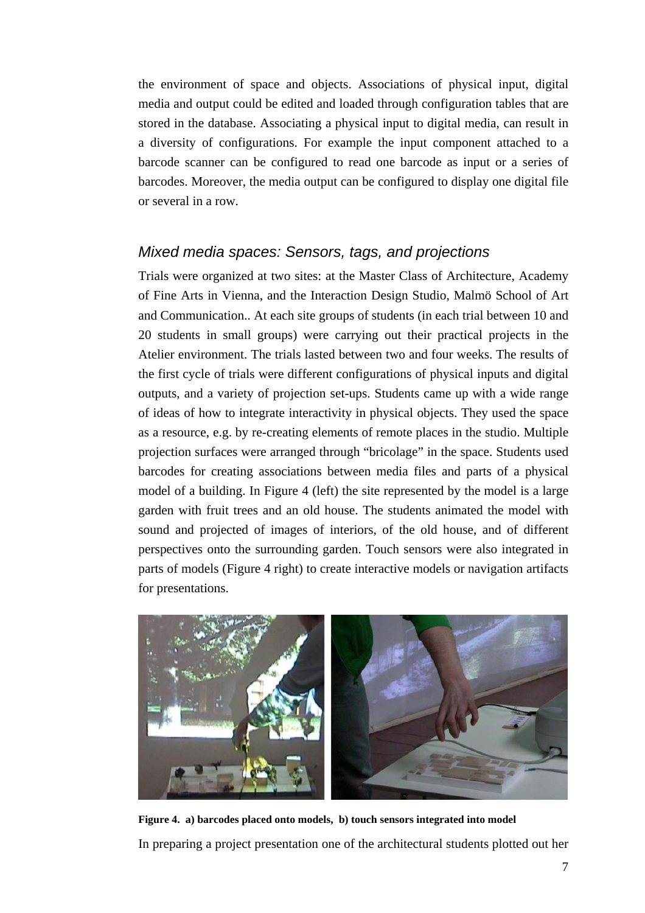the environment of space and objects. Associations of physical input, digital media and output could be edited and loaded through configuration tables that are stored in the database. Associating a physical input to digital media, can result in a diversity of configurations. For example the input component attached to a barcode scanner can be configured to read one barcode as input or a series of barcodes. Moreover, the media output can be configured to display one digital file or several in a row.

#### *Mixed media spaces: Sensors, tags, and projections*

Trials were organized at two sites: at the Master Class of Architecture, Academy of Fine Arts in Vienna, and the Interaction Design Studio, Malmö School of Art and Communication.. At each site groups of students (in each trial between 10 and 20 students in small groups) were carrying out their practical projects in the Atelier environment. The trials lasted between two and four weeks. The results of the first cycle of trials were different configurations of physical inputs and digital outputs, and a variety of projection set-ups. Students came up with a wide range of ideas of how to integrate interactivity in physical objects. They used the space as a resource, e.g. by re-creating elements of remote places in the studio. Multiple projection surfaces were arranged through "bricolage" in the space. Students used barcodes for creating associations between media files and parts of a physical model of a building. In Figure 4 (left) the site represented by the model is a large garden with fruit trees and an old house. The students animated the model with sound and projected of images of interiors, of the old house, and of different perspectives onto the surrounding garden. Touch sensors were also integrated in parts of models (Figure 4 right) to create interactive models or navigation artifacts for presentations.



**Figure 4. a) barcodes placed onto models, b) touch sensors integrated into model**  In preparing a project presentation one of the architectural students plotted out her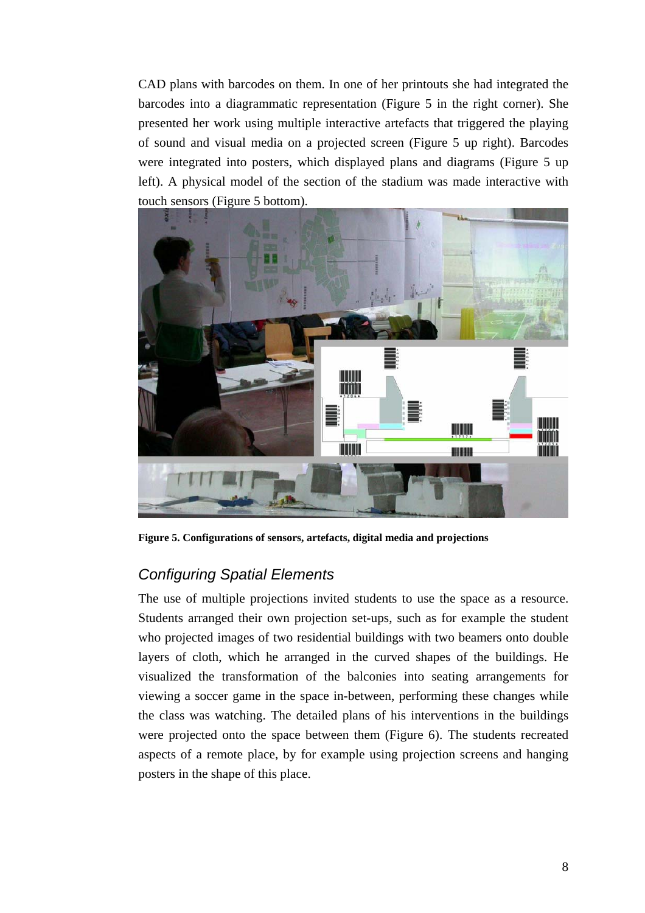CAD plans with barcodes on them. In one of her printouts she had integrated the barcodes into a diagrammatic representation (Figure 5 in the right corner). She presented her work using multiple interactive artefacts that triggered the playing of sound and visual media on a projected screen (Figure 5 up right). Barcodes were integrated into posters, which displayed plans and diagrams (Figure 5 up left). A physical model of the section of the stadium was made interactive with touch sensors (Figure 5 bottom).



**Figure 5. Configurations of sensors, artefacts, digital media and projections** 

## *Configuring Spatial Elements*

The use of multiple projections invited students to use the space as a resource. Students arranged their own projection set-ups, such as for example the student who projected images of two residential buildings with two beamers onto double layers of cloth, which he arranged in the curved shapes of the buildings. He visualized the transformation of the balconies into seating arrangements for viewing a soccer game in the space in-between, performing these changes while the class was watching. The detailed plans of his interventions in the buildings were projected onto the space between them (Figure 6). The students recreated aspects of a remote place, by for example using projection screens and hanging posters in the shape of this place.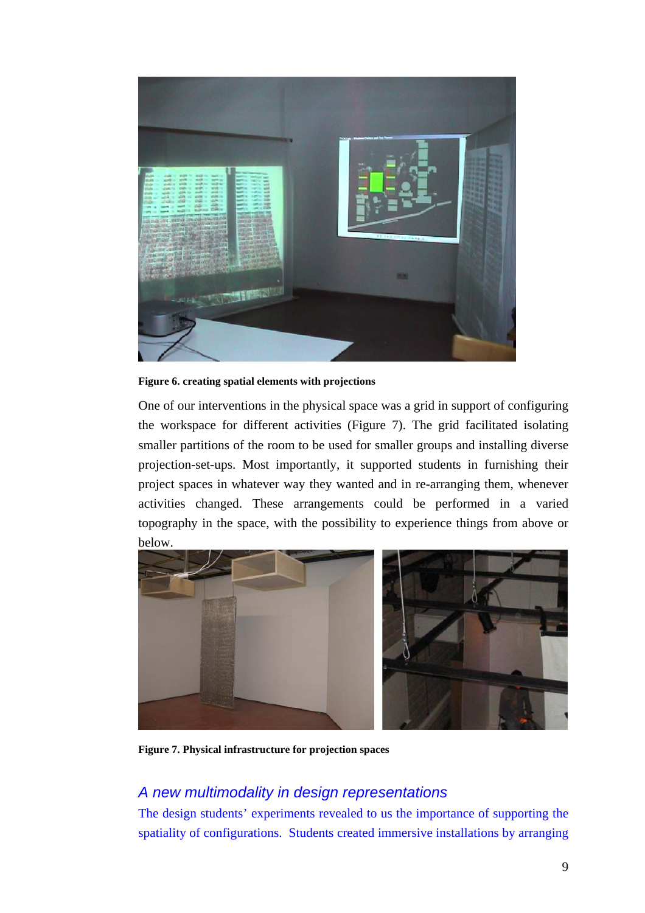

**Figure 6. creating spatial elements with projections** 

One of our interventions in the physical space was a grid in support of configuring the workspace for different activities (Figure 7). The grid facilitated isolating smaller partitions of the room to be used for smaller groups and installing diverse projection-set-ups. Most importantly, it supported students in furnishing their project spaces in whatever way they wanted and in re-arranging them, whenever activities changed. These arrangements could be performed in a varied topography in the space, with the possibility to experience things from above or below.



**Figure 7. Physical infrastructure for projection spaces** 

# *A new multimodality in design representations*

The design students' experiments revealed to us the importance of supporting the spatiality of configurations. Students created immersive installations by arranging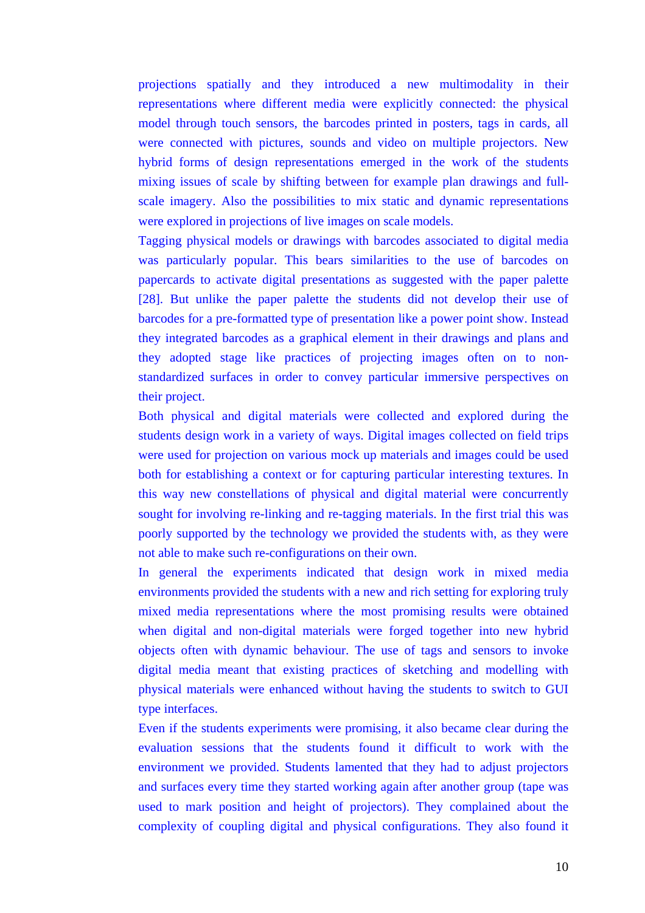projections spatially and they introduced a new multimodality in their representations where different media were explicitly connected: the physical model through touch sensors, the barcodes printed in posters, tags in cards, all were connected with pictures, sounds and video on multiple projectors. New hybrid forms of design representations emerged in the work of the students mixing issues of scale by shifting between for example plan drawings and fullscale imagery. Also the possibilities to mix static and dynamic representations were explored in projections of live images on scale models.

Tagging physical models or drawings with barcodes associated to digital media was particularly popular. This bears similarities to the use of barcodes on papercards to activate digital presentations as suggested with the paper palette [28]. But unlike the paper palette the students did not develop their use of barcodes for a pre-formatted type of presentation like a power point show. Instead they integrated barcodes as a graphical element in their drawings and plans and they adopted stage like practices of projecting images often on to nonstandardized surfaces in order to convey particular immersive perspectives on their project.

Both physical and digital materials were collected and explored during the students design work in a variety of ways. Digital images collected on field trips were used for projection on various mock up materials and images could be used both for establishing a context or for capturing particular interesting textures. In this way new constellations of physical and digital material were concurrently sought for involving re-linking and re-tagging materials. In the first trial this was poorly supported by the technology we provided the students with, as they were not able to make such re-configurations on their own.

In general the experiments indicated that design work in mixed media environments provided the students with a new and rich setting for exploring truly mixed media representations where the most promising results were obtained when digital and non-digital materials were forged together into new hybrid objects often with dynamic behaviour. The use of tags and sensors to invoke digital media meant that existing practices of sketching and modelling with physical materials were enhanced without having the students to switch to GUI type interfaces.

Even if the students experiments were promising, it also became clear during the evaluation sessions that the students found it difficult to work with the environment we provided. Students lamented that they had to adjust projectors and surfaces every time they started working again after another group (tape was used to mark position and height of projectors). They complained about the complexity of coupling digital and physical configurations. They also found it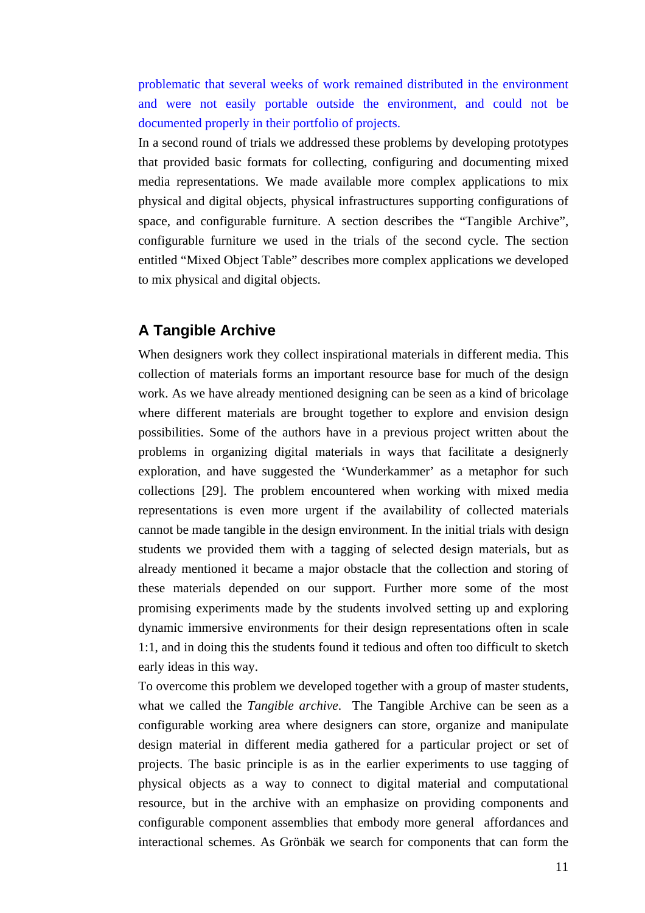problematic that several weeks of work remained distributed in the environment and were not easily portable outside the environment, and could not be documented properly in their portfolio of projects.

In a second round of trials we addressed these problems by developing prototypes that provided basic formats for collecting, configuring and documenting mixed media representations. We made available more complex applications to mix physical and digital objects, physical infrastructures supporting configurations of space, and configurable furniture. A section describes the "Tangible Archive", configurable furniture we used in the trials of the second cycle. The section entitled "Mixed Object Table" describes more complex applications we developed to mix physical and digital objects.

### **A Tangible Archive**

When designers work they collect inspirational materials in different media. This collection of materials forms an important resource base for much of the design work. As we have already mentioned designing can be seen as a kind of bricolage where different materials are brought together to explore and envision design possibilities. Some of the authors have in a previous project written about the problems in organizing digital materials in ways that facilitate a designerly exploration, and have suggested the 'Wunderkammer' as a metaphor for such collections [29]. The problem encountered when working with mixed media representations is even more urgent if the availability of collected materials cannot be made tangible in the design environment. In the initial trials with design students we provided them with a tagging of selected design materials, but as already mentioned it became a major obstacle that the collection and storing of these materials depended on our support. Further more some of the most promising experiments made by the students involved setting up and exploring dynamic immersive environments for their design representations often in scale 1:1, and in doing this the students found it tedious and often too difficult to sketch early ideas in this way.

To overcome this problem we developed together with a group of master students, what we called the *Tangible archive*. The Tangible Archive can be seen as a configurable working area where designers can store, organize and manipulate design material in different media gathered for a particular project or set of projects. The basic principle is as in the earlier experiments to use tagging of physical objects as a way to connect to digital material and computational resource, but in the archive with an emphasize on providing components and configurable component assemblies that embody more general affordances and interactional schemes. As Grönbäk we search for components that can form the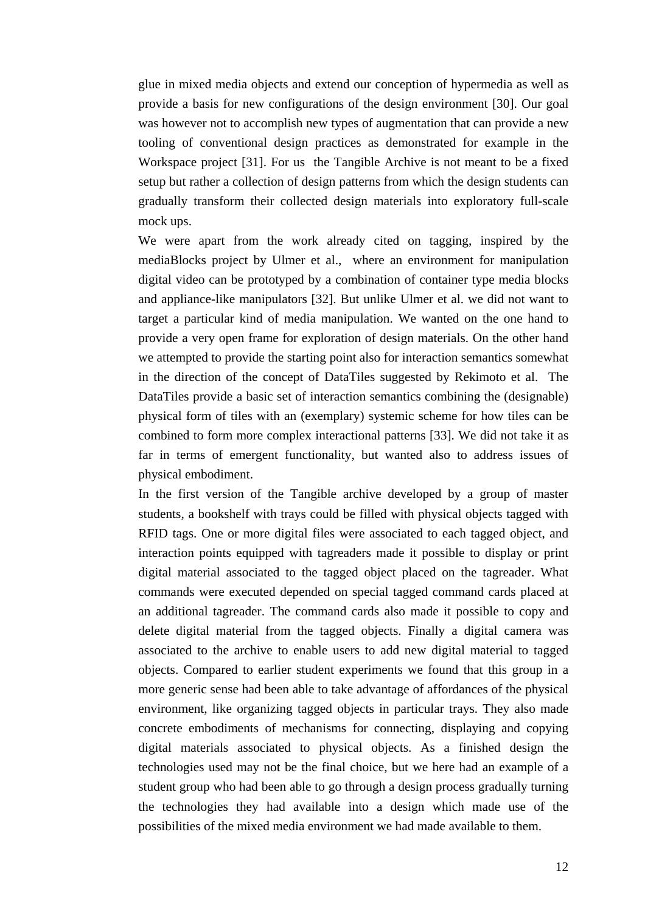glue in mixed media objects and extend our conception of hypermedia as well as provide a basis for new configurations of the design environment [30]. Our goal was however not to accomplish new types of augmentation that can provide a new tooling of conventional design practices as demonstrated for example in the Workspace project [31]. For us the Tangible Archive is not meant to be a fixed setup but rather a collection of design patterns from which the design students can gradually transform their collected design materials into exploratory full-scale mock ups.

We were apart from the work already cited on tagging, inspired by the mediaBlocks project by Ulmer et al., where an environment for manipulation digital video can be prototyped by a combination of container type media blocks and appliance-like manipulators [32]. But unlike Ulmer et al. we did not want to target a particular kind of media manipulation. We wanted on the one hand to provide a very open frame for exploration of design materials. On the other hand we attempted to provide the starting point also for interaction semantics somewhat in the direction of the concept of DataTiles suggested by Rekimoto et al. The DataTiles provide a basic set of interaction semantics combining the (designable) physical form of tiles with an (exemplary) systemic scheme for how tiles can be combined to form more complex interactional patterns [33]. We did not take it as far in terms of emergent functionality, but wanted also to address issues of physical embodiment.

In the first version of the Tangible archive developed by a group of master students, a bookshelf with trays could be filled with physical objects tagged with RFID tags. One or more digital files were associated to each tagged object, and interaction points equipped with tagreaders made it possible to display or print digital material associated to the tagged object placed on the tagreader. What commands were executed depended on special tagged command cards placed at an additional tagreader. The command cards also made it possible to copy and delete digital material from the tagged objects. Finally a digital camera was associated to the archive to enable users to add new digital material to tagged objects. Compared to earlier student experiments we found that this group in a more generic sense had been able to take advantage of affordances of the physical environment, like organizing tagged objects in particular trays. They also made concrete embodiments of mechanisms for connecting, displaying and copying digital materials associated to physical objects. As a finished design the technologies used may not be the final choice, but we here had an example of a student group who had been able to go through a design process gradually turning the technologies they had available into a design which made use of the possibilities of the mixed media environment we had made available to them.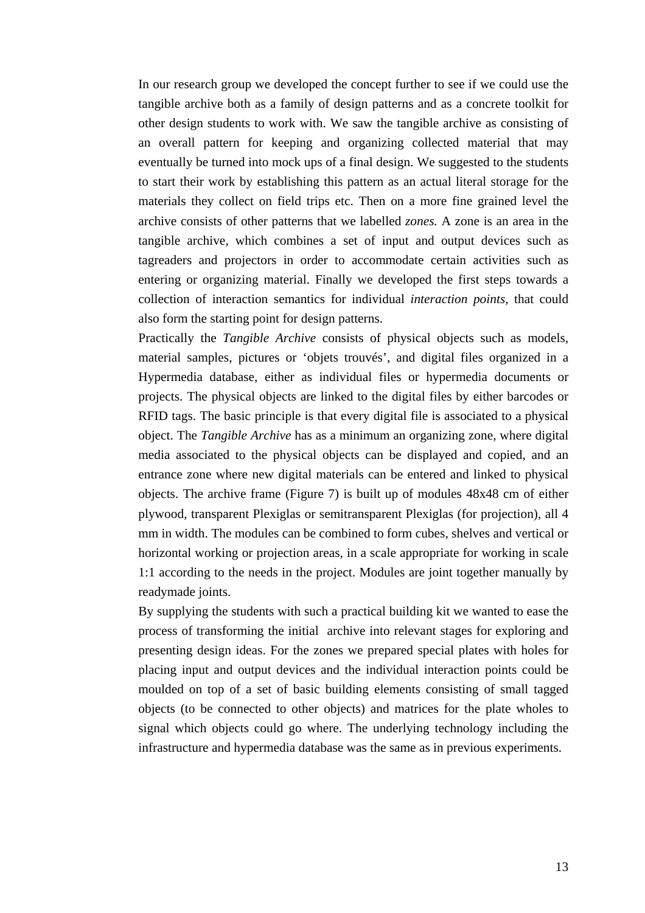In our research group we developed the concept further to see if we could use the tangible archive both as a family of design patterns and as a concrete toolkit for other design students to work with. We saw the tangible archive as consisting of an overall pattern for keeping and organizing collected material that may eventually be turned into mock ups of a final design. We suggested to the students to start their work by establishing this pattern as an actual literal storage for the materials they collect on field trips etc. Then on a more fine grained level the archive consists of other patterns that we labelled *zones.* A zone is an area in the tangible archive, which combines a set of input and output devices such as tagreaders and projectors in order to accommodate certain activities such as entering or organizing material. Finally we developed the first steps towards a collection of interaction semantics for individual *interaction points,* that could also form the starting point for design patterns.

Practically the *Tangible Archive* consists of physical objects such as models, material samples, pictures or 'objets trouvés', and digital files organized in a Hypermedia database, either as individual files or hypermedia documents or projects. The physical objects are linked to the digital files by either barcodes or RFID tags. The basic principle is that every digital file is associated to a physical object. The *Tangible Archive* has as a minimum an organizing zone, where digital media associated to the physical objects can be displayed and copied, and an entrance zone where new digital materials can be entered and linked to physical objects. The archive frame (Figure 7) is built up of modules 48x48 cm of either plywood, transparent Plexiglas or semitransparent Plexiglas (for projection), all 4 mm in width. The modules can be combined to form cubes, shelves and vertical or horizontal working or projection areas, in a scale appropriate for working in scale 1:1 according to the needs in the project. Modules are joint together manually by readymade joints.

By supplying the students with such a practical building kit we wanted to ease the process of transforming the initial archive into relevant stages for exploring and presenting design ideas. For the zones we prepared special plates with holes for placing input and output devices and the individual interaction points could be moulded on top of a set of basic building elements consisting of small tagged objects (to be connected to other objects) and matrices for the plate wholes to signal which objects could go where. The underlying technology including the infrastructure and hypermedia database was the same as in previous experiments.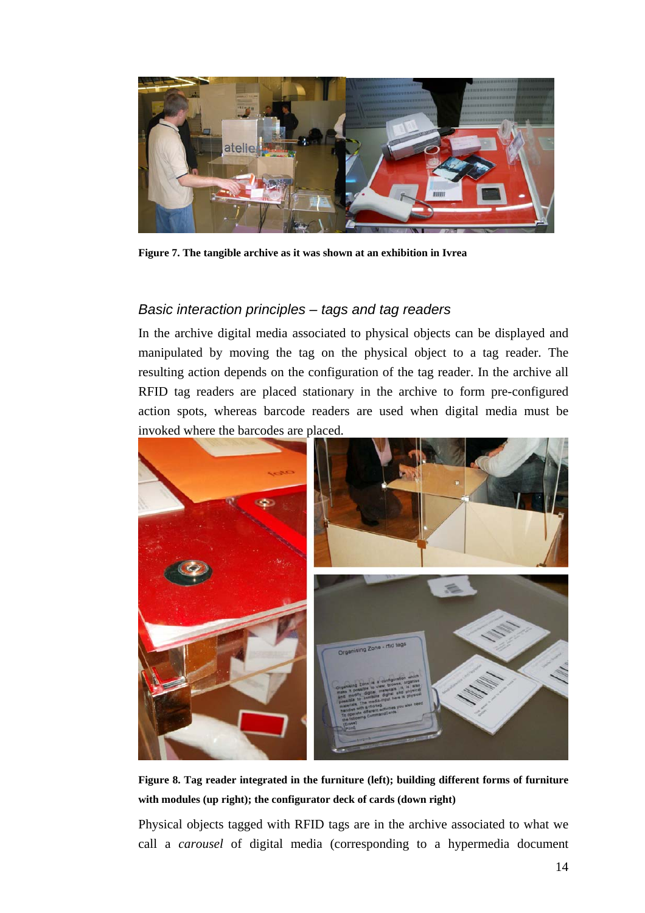

**Figure 7. The tangible archive as it was shown at an exhibition in Ivrea** 

### *Basic interaction principles – tags and tag readers*

In the archive digital media associated to physical objects can be displayed and manipulated by moving the tag on the physical object to a tag reader. The resulting action depends on the configuration of the tag reader. In the archive all RFID tag readers are placed stationary in the archive to form pre-configured action spots, whereas barcode readers are used when digital media must be invoked where the barcodes are placed.



**Figure 8. Tag reader integrated in the furniture (left); building different forms of furniture with modules (up right); the configurator deck of cards (down right)** 

Physical objects tagged with RFID tags are in the archive associated to what we call a *carousel* of digital media (corresponding to a hypermedia document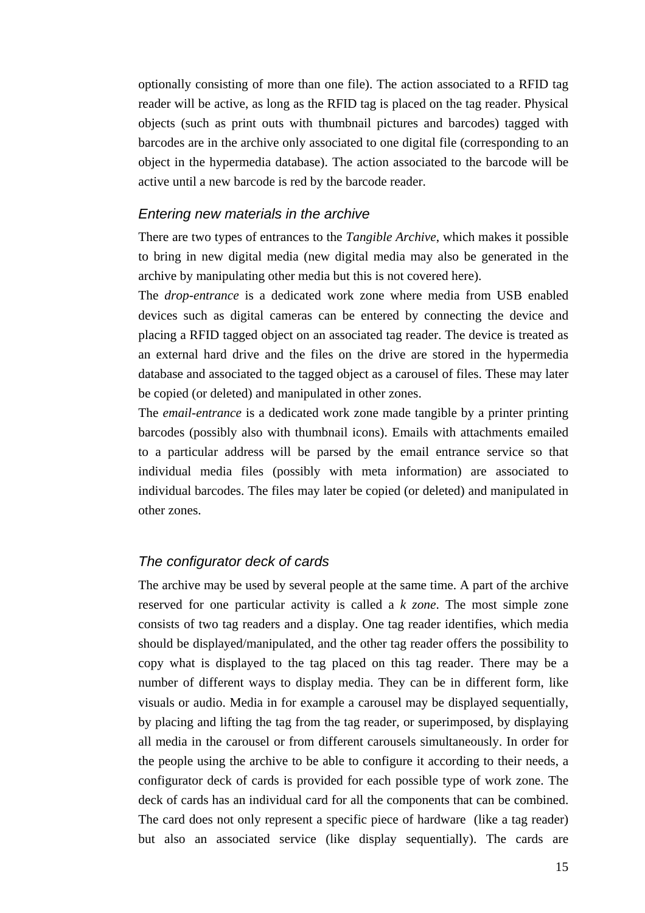optionally consisting of more than one file). The action associated to a RFID tag reader will be active, as long as the RFID tag is placed on the tag reader. Physical objects (such as print outs with thumbnail pictures and barcodes) tagged with barcodes are in the archive only associated to one digital file (corresponding to an object in the hypermedia database). The action associated to the barcode will be active until a new barcode is red by the barcode reader.

#### *Entering new materials in the archive*

There are two types of entrances to the *Tangible Archive*, which makes it possible to bring in new digital media (new digital media may also be generated in the archive by manipulating other media but this is not covered here).

The *drop-entrance* is a dedicated work zone where media from USB enabled devices such as digital cameras can be entered by connecting the device and placing a RFID tagged object on an associated tag reader. The device is treated as an external hard drive and the files on the drive are stored in the hypermedia database and associated to the tagged object as a carousel of files. These may later be copied (or deleted) and manipulated in other zones.

The *email-entrance* is a dedicated work zone made tangible by a printer printing barcodes (possibly also with thumbnail icons). Emails with attachments emailed to a particular address will be parsed by the email entrance service so that individual media files (possibly with meta information) are associated to individual barcodes. The files may later be copied (or deleted) and manipulated in other zones.

#### *The configurator deck of cards*

The archive may be used by several people at the same time. A part of the archive reserved for one particular activity is called a *k zone*. The most simple zone consists of two tag readers and a display. One tag reader identifies, which media should be displayed/manipulated, and the other tag reader offers the possibility to copy what is displayed to the tag placed on this tag reader. There may be a number of different ways to display media. They can be in different form, like visuals or audio. Media in for example a carousel may be displayed sequentially, by placing and lifting the tag from the tag reader, or superimposed, by displaying all media in the carousel or from different carousels simultaneously. In order for the people using the archive to be able to configure it according to their needs, a configurator deck of cards is provided for each possible type of work zone. The deck of cards has an individual card for all the components that can be combined. The card does not only represent a specific piece of hardware (like a tag reader) but also an associated service (like display sequentially). The cards are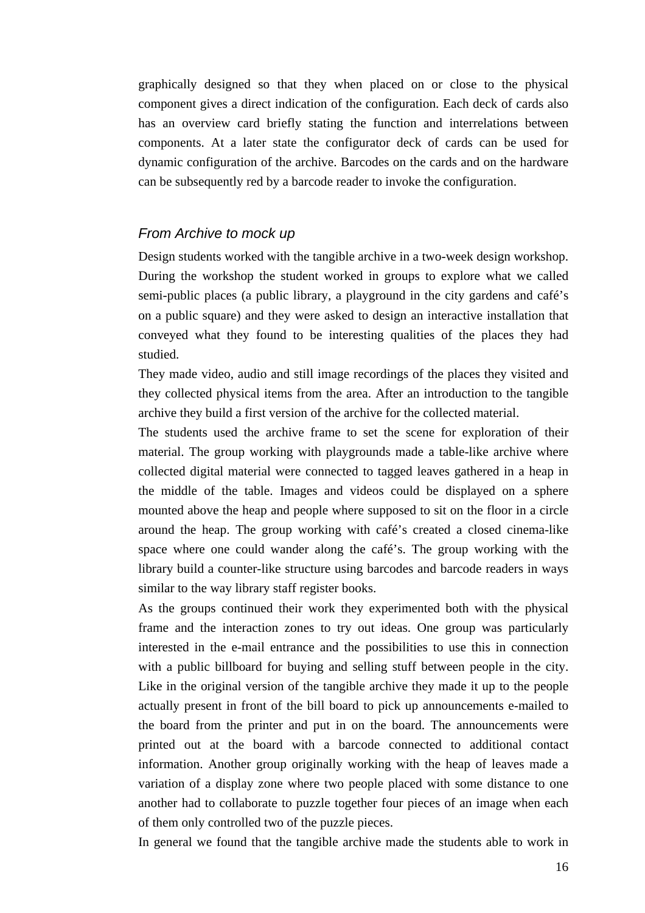graphically designed so that they when placed on or close to the physical component gives a direct indication of the configuration. Each deck of cards also has an overview card briefly stating the function and interrelations between components. At a later state the configurator deck of cards can be used for dynamic configuration of the archive. Barcodes on the cards and on the hardware can be subsequently red by a barcode reader to invoke the configuration.

#### *From Archive to mock up*

Design students worked with the tangible archive in a two-week design workshop. During the workshop the student worked in groups to explore what we called semi-public places (a public library, a playground in the city gardens and café's on a public square) and they were asked to design an interactive installation that conveyed what they found to be interesting qualities of the places they had studied.

They made video, audio and still image recordings of the places they visited and they collected physical items from the area. After an introduction to the tangible archive they build a first version of the archive for the collected material.

The students used the archive frame to set the scene for exploration of their material. The group working with playgrounds made a table-like archive where collected digital material were connected to tagged leaves gathered in a heap in the middle of the table. Images and videos could be displayed on a sphere mounted above the heap and people where supposed to sit on the floor in a circle around the heap. The group working with café's created a closed cinema-like space where one could wander along the café's. The group working with the library build a counter-like structure using barcodes and barcode readers in ways similar to the way library staff register books.

As the groups continued their work they experimented both with the physical frame and the interaction zones to try out ideas. One group was particularly interested in the e-mail entrance and the possibilities to use this in connection with a public billboard for buying and selling stuff between people in the city. Like in the original version of the tangible archive they made it up to the people actually present in front of the bill board to pick up announcements e-mailed to the board from the printer and put in on the board. The announcements were printed out at the board with a barcode connected to additional contact information. Another group originally working with the heap of leaves made a variation of a display zone where two people placed with some distance to one another had to collaborate to puzzle together four pieces of an image when each of them only controlled two of the puzzle pieces.

In general we found that the tangible archive made the students able to work in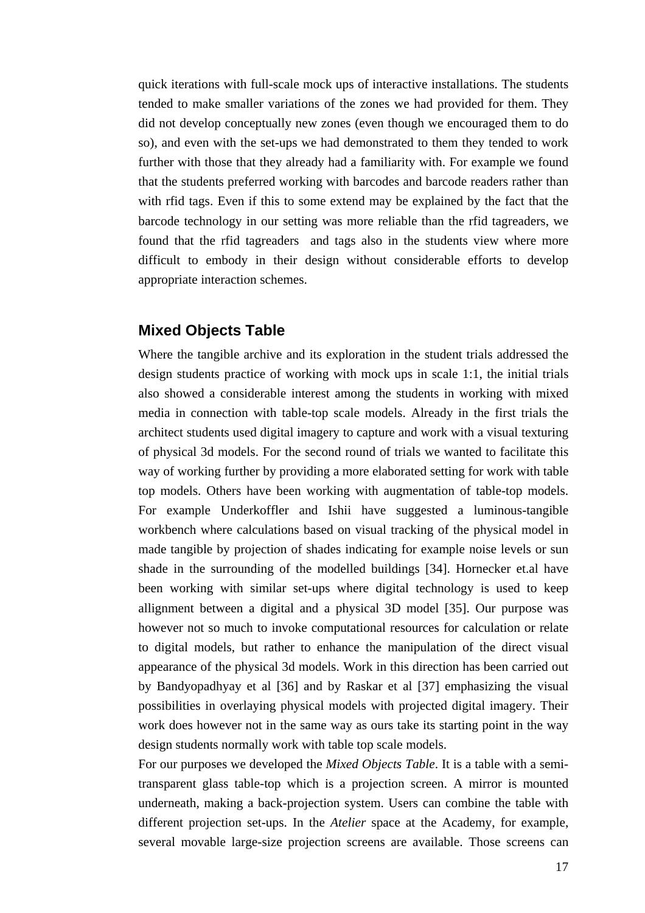quick iterations with full-scale mock ups of interactive installations. The students tended to make smaller variations of the zones we had provided for them. They did not develop conceptually new zones (even though we encouraged them to do so), and even with the set-ups we had demonstrated to them they tended to work further with those that they already had a familiarity with. For example we found that the students preferred working with barcodes and barcode readers rather than with rfid tags. Even if this to some extend may be explained by the fact that the barcode technology in our setting was more reliable than the rfid tagreaders, we found that the rfid tagreaders and tags also in the students view where more difficult to embody in their design without considerable efforts to develop appropriate interaction schemes.

#### **Mixed Objects Table**

Where the tangible archive and its exploration in the student trials addressed the design students practice of working with mock ups in scale 1:1, the initial trials also showed a considerable interest among the students in working with mixed media in connection with table-top scale models. Already in the first trials the architect students used digital imagery to capture and work with a visual texturing of physical 3d models. For the second round of trials we wanted to facilitate this way of working further by providing a more elaborated setting for work with table top models. Others have been working with augmentation of table-top models. For example Underkoffler and Ishii have suggested a luminous-tangible workbench where calculations based on visual tracking of the physical model in made tangible by projection of shades indicating for example noise levels or sun shade in the surrounding of the modelled buildings [34]. Hornecker et.al have been working with similar set-ups where digital technology is used to keep allignment between a digital and a physical 3D model [35]. Our purpose was however not so much to invoke computational resources for calculation or relate to digital models, but rather to enhance the manipulation of the direct visual appearance of the physical 3d models. Work in this direction has been carried out by Bandyopadhyay et al [36] and by Raskar et al [37] emphasizing the visual possibilities in overlaying physical models with projected digital imagery. Their work does however not in the same way as ours take its starting point in the way design students normally work with table top scale models.

For our purposes we developed the *Mixed Objects Table*. It is a table with a semitransparent glass table-top which is a projection screen. A mirror is mounted underneath, making a back-projection system. Users can combine the table with different projection set-ups. In the *Atelier* space at the Academy, for example, several movable large-size projection screens are available. Those screens can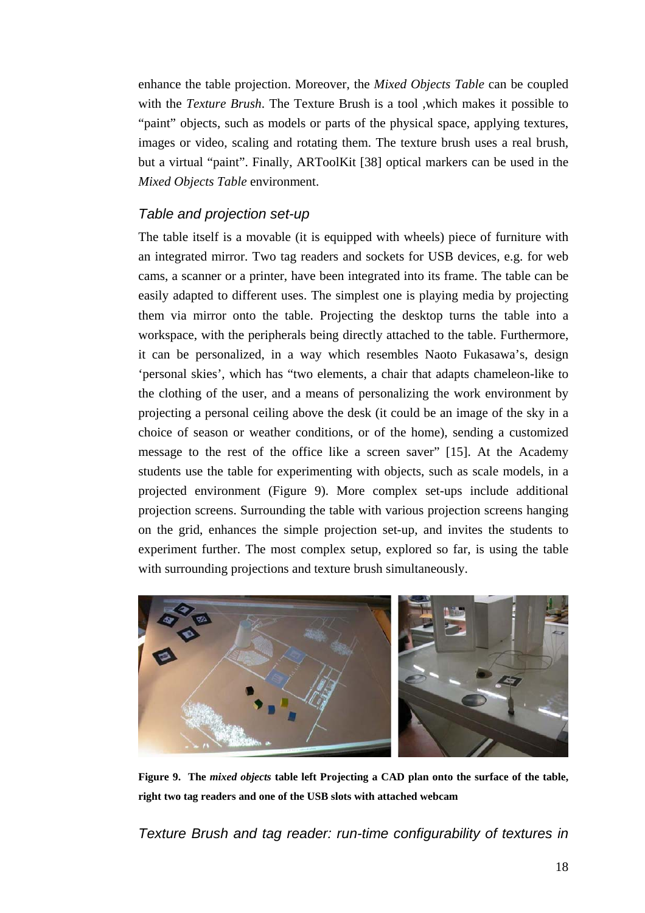enhance the table projection. Moreover, the *Mixed Objects Table* can be coupled with the *Texture Brush*. The Texture Brush is a tool ,which makes it possible to "paint" objects, such as models or parts of the physical space, applying textures, images or video, scaling and rotating them. The texture brush uses a real brush, but a virtual "paint". Finally, ARToolKit [38] optical markers can be used in the *Mixed Objects Table* environment.

#### *Table and projection set-up*

The table itself is a movable (it is equipped with wheels) piece of furniture with an integrated mirror. Two tag readers and sockets for USB devices, e.g. for web cams, a scanner or a printer, have been integrated into its frame. The table can be easily adapted to different uses. The simplest one is playing media by projecting them via mirror onto the table. Projecting the desktop turns the table into a workspace, with the peripherals being directly attached to the table. Furthermore, it can be personalized, in a way which resembles Naoto Fukasawa's, design 'personal skies', which has "two elements, a chair that adapts chameleon-like to the clothing of the user, and a means of personalizing the work environment by projecting a personal ceiling above the desk (it could be an image of the sky in a choice of season or weather conditions, or of the home), sending a customized message to the rest of the office like a screen saver" [15]. At the Academy students use the table for experimenting with objects, such as scale models, in a projected environment (Figure 9). More complex set-ups include additional projection screens. Surrounding the table with various projection screens hanging on the grid, enhances the simple projection set-up, and invites the students to experiment further. The most complex setup, explored so far, is using the table with surrounding projections and texture brush simultaneously.



**Figure 9. The** *mixed objects* **table left Projecting a CAD plan onto the surface of the table, right two tag readers and one of the USB slots with attached webcam** 

*Texture Brush and tag reader: run-time configurability of textures in*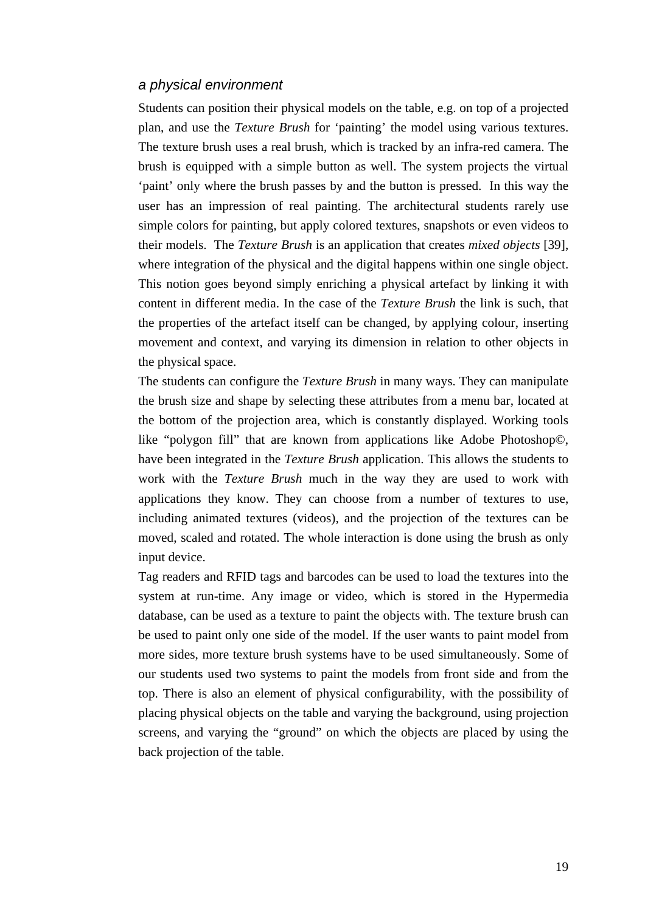#### *a physical environment*

Students can position their physical models on the table, e.g. on top of a projected plan, and use the *Texture Brush* for 'painting' the model using various textures. The texture brush uses a real brush, which is tracked by an infra-red camera. The brush is equipped with a simple button as well. The system projects the virtual 'paint' only where the brush passes by and the button is pressed. In this way the user has an impression of real painting. The architectural students rarely use simple colors for painting, but apply colored textures, snapshots or even videos to their models. The *Texture Brush* is an application that creates *mixed objects* [39], where integration of the physical and the digital happens within one single object. This notion goes beyond simply enriching a physical artefact by linking it with content in different media. In the case of the *Texture Brush* the link is such, that the properties of the artefact itself can be changed, by applying colour, inserting movement and context, and varying its dimension in relation to other objects in the physical space.

The students can configure the *Texture Brush* in many ways. They can manipulate the brush size and shape by selecting these attributes from a menu bar, located at the bottom of the projection area, which is constantly displayed. Working tools like "polygon fill" that are known from applications like Adobe Photoshop©, have been integrated in the *Texture Brush* application. This allows the students to work with the *Texture Brush* much in the way they are used to work with applications they know. They can choose from a number of textures to use, including animated textures (videos), and the projection of the textures can be moved, scaled and rotated. The whole interaction is done using the brush as only input device.

Tag readers and RFID tags and barcodes can be used to load the textures into the system at run-time. Any image or video, which is stored in the Hypermedia database, can be used as a texture to paint the objects with. The texture brush can be used to paint only one side of the model. If the user wants to paint model from more sides, more texture brush systems have to be used simultaneously. Some of our students used two systems to paint the models from front side and from the top. There is also an element of physical configurability, with the possibility of placing physical objects on the table and varying the background, using projection screens*,* and varying the "ground" on which the objects are placed by using the back projection of the table.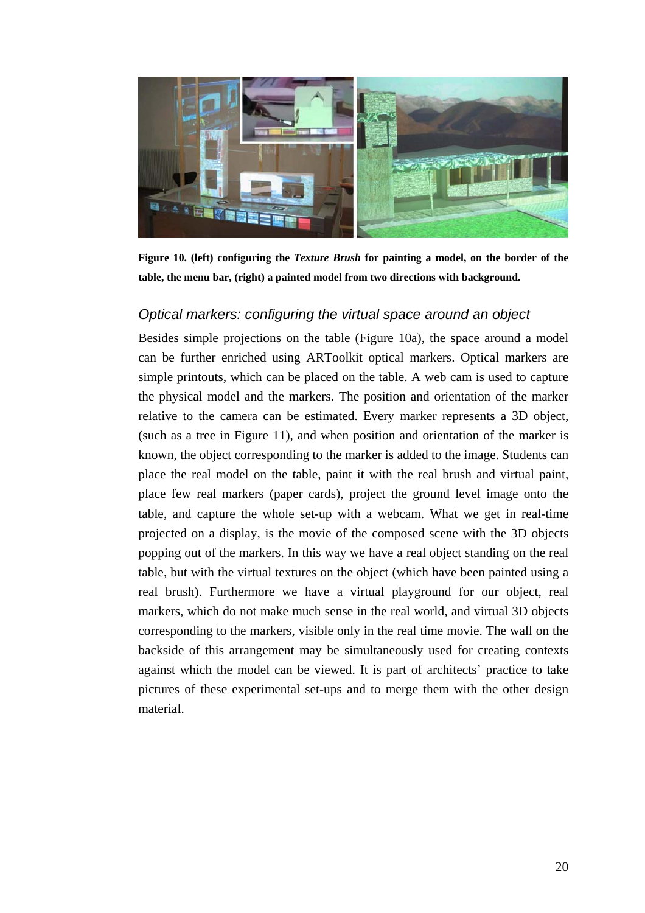

**Figure 10. (left) configuring the** *Texture Brush* **for painting a model, on the border of the table, the menu bar, (right) a painted model from two directions with background.** 

### *Optical markers: configuring the virtual space around an object*

Besides simple projections on the table (Figure 10a), the space around a model can be further enriched using ARToolkit optical markers. Optical markers are simple printouts, which can be placed on the table. A web cam is used to capture the physical model and the markers. The position and orientation of the marker relative to the camera can be estimated. Every marker represents a 3D object, (such as a tree in Figure 11), and when position and orientation of the marker is known, the object corresponding to the marker is added to the image. Students can place the real model on the table, paint it with the real brush and virtual paint, place few real markers (paper cards), project the ground level image onto the table, and capture the whole set-up with a webcam. What we get in real-time projected on a display, is the movie of the composed scene with the 3D objects popping out of the markers. In this way we have a real object standing on the real table, but with the virtual textures on the object (which have been painted using a real brush). Furthermore we have a virtual playground for our object, real markers, which do not make much sense in the real world, and virtual 3D objects corresponding to the markers, visible only in the real time movie. The wall on the backside of this arrangement may be simultaneously used for creating contexts against which the model can be viewed. It is part of architects' practice to take pictures of these experimental set-ups and to merge them with the other design material.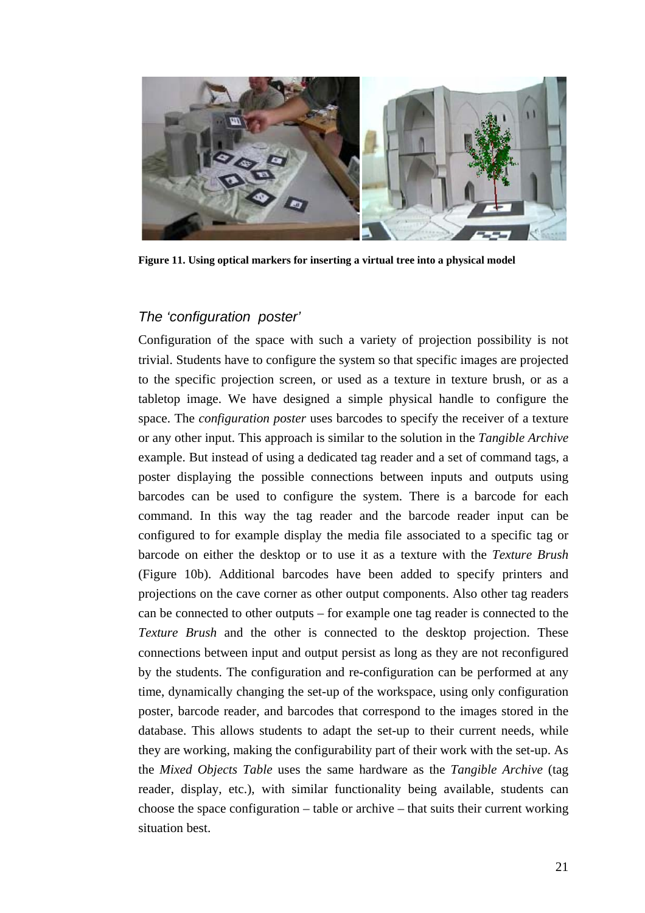

**Figure 11. Using optical markers for inserting a virtual tree into a physical model** 

#### *The 'configuration poster'*

Configuration of the space with such a variety of projection possibility is not trivial. Students have to configure the system so that specific images are projected to the specific projection screen, or used as a texture in texture brush, or as a tabletop image. We have designed a simple physical handle to configure the space. The *configuration poster* uses barcodes to specify the receiver of a texture or any other input. This approach is similar to the solution in the *Tangible Archive* example. But instead of using a dedicated tag reader and a set of command tags, a poster displaying the possible connections between inputs and outputs using barcodes can be used to configure the system. There is a barcode for each command. In this way the tag reader and the barcode reader input can be configured to for example display the media file associated to a specific tag or barcode on either the desktop or to use it as a texture with the *Texture Brush* (Figure 10b). Additional barcodes have been added to specify printers and projections on the cave corner as other output components. Also other tag readers can be connected to other outputs – for example one tag reader is connected to the *Texture Brush* and the other is connected to the desktop projection. These connections between input and output persist as long as they are not reconfigured by the students. The configuration and re-configuration can be performed at any time, dynamically changing the set-up of the workspace, using only configuration poster, barcode reader, and barcodes that correspond to the images stored in the database. This allows students to adapt the set-up to their current needs, while they are working, making the configurability part of their work with the set-up. As the *Mixed Objects Table* uses the same hardware as the *Tangible Archive* (tag reader, display, etc.), with similar functionality being available, students can choose the space configuration – table or archive – that suits their current working situation best.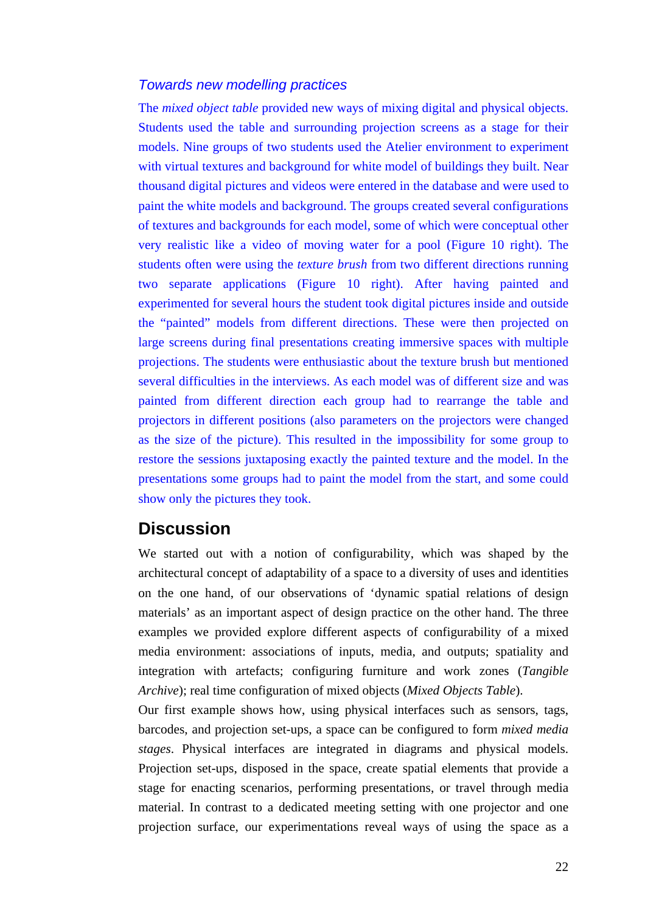#### *Towards new modelling practices*

The *mixed object table* provided new ways of mixing digital and physical objects. Students used the table and surrounding projection screens as a stage for their models. Nine groups of two students used the Atelier environment to experiment with virtual textures and background for white model of buildings they built. Near thousand digital pictures and videos were entered in the database and were used to paint the white models and background. The groups created several configurations of textures and backgrounds for each model, some of which were conceptual other very realistic like a video of moving water for a pool (Figure 10 right). The students often were using the *texture brush* from two different directions running two separate applications (Figure 10 right). After having painted and experimented for several hours the student took digital pictures inside and outside the "painted" models from different directions. These were then projected on large screens during final presentations creating immersive spaces with multiple projections. The students were enthusiastic about the texture brush but mentioned several difficulties in the interviews. As each model was of different size and was painted from different direction each group had to rearrange the table and projectors in different positions (also parameters on the projectors were changed as the size of the picture). This resulted in the impossibility for some group to restore the sessions juxtaposing exactly the painted texture and the model. In the presentations some groups had to paint the model from the start, and some could show only the pictures they took.

## **Discussion**

We started out with a notion of configurability, which was shaped by the architectural concept of adaptability of a space to a diversity of uses and identities on the one hand, of our observations of 'dynamic spatial relations of design materials' as an important aspect of design practice on the other hand. The three examples we provided explore different aspects of configurability of a mixed media environment: associations of inputs, media, and outputs; spatiality and integration with artefacts; configuring furniture and work zones (*Tangible Archive*); real time configuration of mixed objects (*Mixed Objects Table*).

Our first example shows how, using physical interfaces such as sensors, tags, barcodes, and projection set-ups, a space can be configured to form *mixed media stages*. Physical interfaces are integrated in diagrams and physical models. Projection set-ups, disposed in the space, create spatial elements that provide a stage for enacting scenarios, performing presentations, or travel through media material. In contrast to a dedicated meeting setting with one projector and one projection surface, our experimentations reveal ways of using the space as a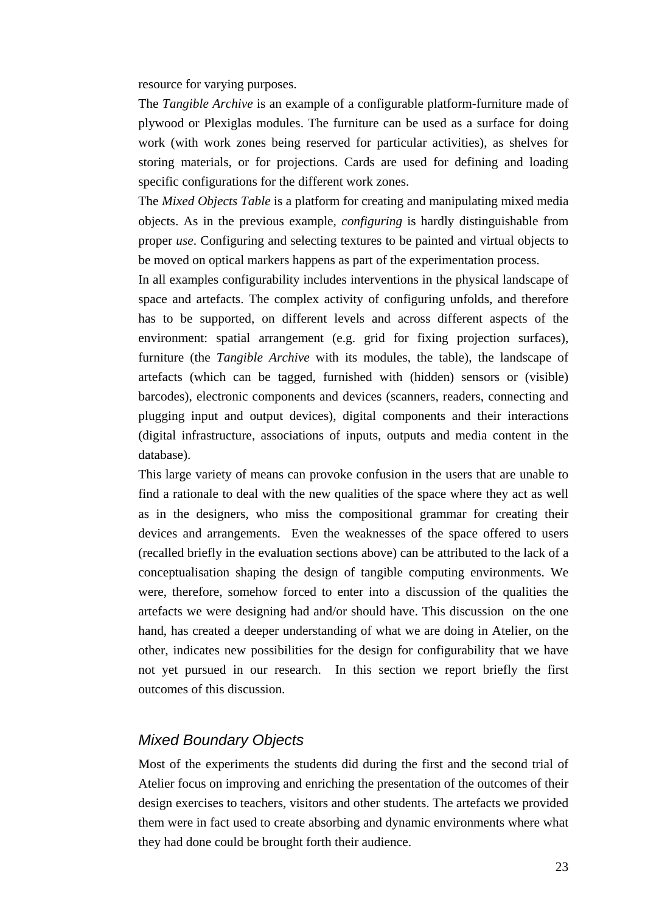resource for varying purposes.

The *Tangible Archive* is an example of a configurable platform-furniture made of plywood or Plexiglas modules. The furniture can be used as a surface for doing work (with work zones being reserved for particular activities), as shelves for storing materials, or for projections. Cards are used for defining and loading specific configurations for the different work zones.

The *Mixed Objects Table* is a platform for creating and manipulating mixed media objects. As in the previous example, *configuring* is hardly distinguishable from proper *use*. Configuring and selecting textures to be painted and virtual objects to be moved on optical markers happens as part of the experimentation process.

In all examples configurability includes interventions in the physical landscape of space and artefacts. The complex activity of configuring unfolds, and therefore has to be supported, on different levels and across different aspects of the environment: spatial arrangement (e.g. grid for fixing projection surfaces), furniture (the *Tangible Archive* with its modules, the table), the landscape of artefacts (which can be tagged, furnished with (hidden) sensors or (visible) barcodes), electronic components and devices (scanners, readers, connecting and plugging input and output devices), digital components and their interactions (digital infrastructure, associations of inputs, outputs and media content in the database).

This large variety of means can provoke confusion in the users that are unable to find a rationale to deal with the new qualities of the space where they act as well as in the designers, who miss the compositional grammar for creating their devices and arrangements. Even the weaknesses of the space offered to users (recalled briefly in the evaluation sections above) can be attributed to the lack of a conceptualisation shaping the design of tangible computing environments. We were, therefore, somehow forced to enter into a discussion of the qualities the artefacts we were designing had and/or should have. This discussion on the one hand, has created a deeper understanding of what we are doing in Atelier, on the other, indicates new possibilities for the design for configurability that we have not yet pursued in our research. In this section we report briefly the first outcomes of this discussion.

### *Mixed Boundary Objects*

Most of the experiments the students did during the first and the second trial of Atelier focus on improving and enriching the presentation of the outcomes of their design exercises to teachers, visitors and other students. The artefacts we provided them were in fact used to create absorbing and dynamic environments where what they had done could be brought forth their audience.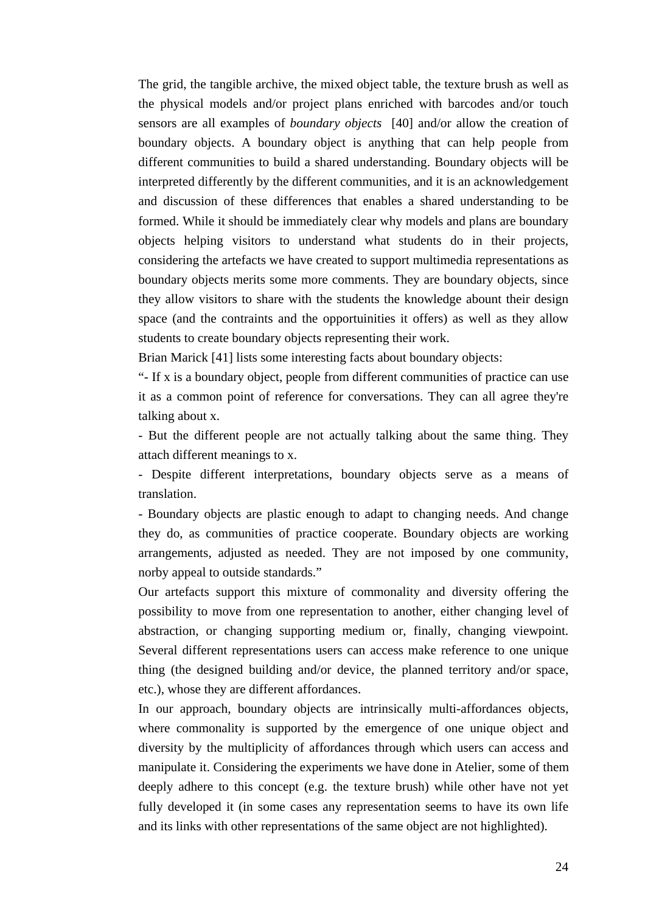The grid, the tangible archive, the mixed object table, the texture brush as well as the physical models and/or project plans enriched with barcodes and/or touch sensors are all examples of *boundary objects* [40] and/or allow the creation of boundary objects. A boundary object is anything that can help people from different communities to build a shared understanding. Boundary objects will be interpreted differently by the different communities, and it is an acknowledgement and discussion of these differences that enables a shared understanding to be formed. While it should be immediately clear why models and plans are boundary objects helping visitors to understand what students do in their projects, considering the artefacts we have created to support multimedia representations as boundary objects merits some more comments. They are boundary objects, since they allow visitors to share with the students the knowledge abount their design space (and the contraints and the opportuinities it offers) as well as they allow students to create boundary objects representing their work.

Brian Marick [41] lists some interesting facts about boundary objects:

"- If x is a boundary object, people from different communities of practice can use it as a common point of reference for conversations. They can all agree they're talking about x.

- But the different people are not actually talking about the same thing. They attach different meanings to x.

- Despite different interpretations, boundary objects serve as a means of translation.

- Boundary objects are plastic enough to adapt to changing needs. And change they do, as communities of practice cooperate. Boundary objects are working arrangements, adjusted as needed. They are not imposed by one community, norby appeal to outside standards."

Our artefacts support this mixture of commonality and diversity offering the possibility to move from one representation to another, either changing level of abstraction, or changing supporting medium or, finally, changing viewpoint. Several different representations users can access make reference to one unique thing (the designed building and/or device, the planned territory and/or space, etc.), whose they are different affordances.

In our approach, boundary objects are intrinsically multi-affordances objects, where commonality is supported by the emergence of one unique object and diversity by the multiplicity of affordances through which users can access and manipulate it. Considering the experiments we have done in Atelier, some of them deeply adhere to this concept (e.g. the texture brush) while other have not yet fully developed it (in some cases any representation seems to have its own life and its links with other representations of the same object are not highlighted).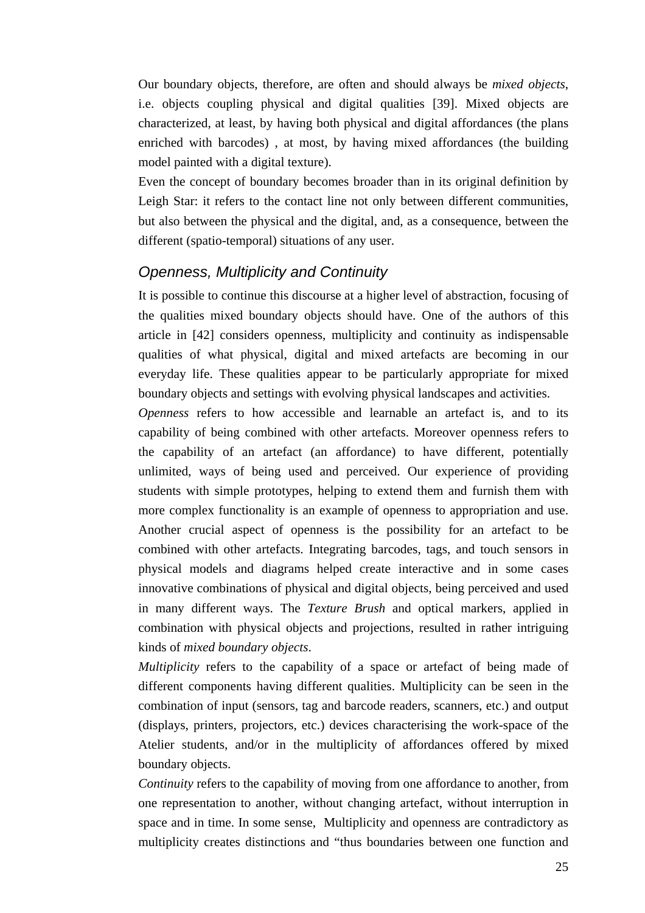Our boundary objects, therefore, are often and should always be *mixed objects*, i.e. objects coupling physical and digital qualities [39]. Mixed objects are characterized, at least, by having both physical and digital affordances (the plans enriched with barcodes) , at most, by having mixed affordances (the building model painted with a digital texture).

Even the concept of boundary becomes broader than in its original definition by Leigh Star: it refers to the contact line not only between different communities, but also between the physical and the digital, and, as a consequence, between the different (spatio-temporal) situations of any user.

# *Openness, Multiplicity and Continuity*

It is possible to continue this discourse at a higher level of abstraction, focusing of the qualities mixed boundary objects should have. One of the authors of this article in [42] considers openness, multiplicity and continuity as indispensable qualities of what physical, digital and mixed artefacts are becoming in our everyday life. These qualities appear to be particularly appropriate for mixed boundary objects and settings with evolving physical landscapes and activities.

*Openness* refers to how accessible and learnable an artefact is, and to its capability of being combined with other artefacts. Moreover openness refers to the capability of an artefact (an affordance) to have different, potentially unlimited, ways of being used and perceived. Our experience of providing students with simple prototypes, helping to extend them and furnish them with more complex functionality is an example of openness to appropriation and use. Another crucial aspect of openness is the possibility for an artefact to be combined with other artefacts. Integrating barcodes, tags, and touch sensors in physical models and diagrams helped create interactive and in some cases innovative combinations of physical and digital objects, being perceived and used in many different ways. The *Texture Brush* and optical markers, applied in combination with physical objects and projections, resulted in rather intriguing kinds of *mixed boundary objects*.

*Multiplicity* refers to the capability of a space or artefact of being made of different components having different qualities. Multiplicity can be seen in the combination of input (sensors, tag and barcode readers, scanners, etc.) and output (displays, printers, projectors, etc.) devices characterising the work-space of the Atelier students, and/or in the multiplicity of affordances offered by mixed boundary objects.

*Continuity* refers to the capability of moving from one affordance to another, from one representation to another, without changing artefact, without interruption in space and in time. In some sense, Multiplicity and openness are contradictory as multiplicity creates distinctions and "thus boundaries between one function and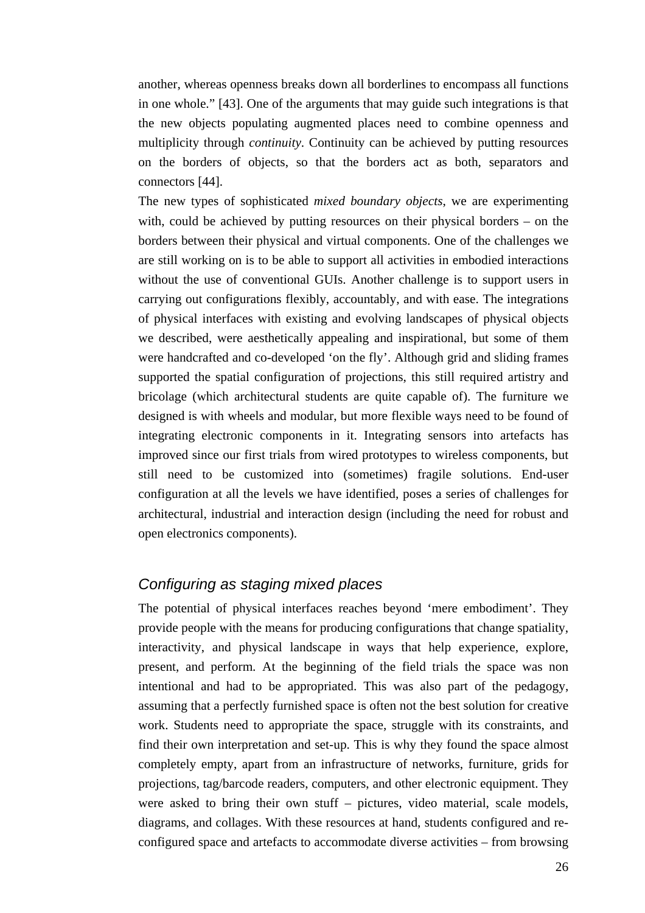another, whereas openness breaks down all borderlines to encompass all functions in one whole." [43]. One of the arguments that may guide such integrations is that the new objects populating augmented places need to combine openness and multiplicity through *continuity*. Continuity can be achieved by putting resources on the borders of objects, so that the borders act as both, separators and connectors [44].

The new types of sophisticated *mixed boundary objects*, we are experimenting with, could be achieved by putting resources on their physical borders – on the borders between their physical and virtual components. One of the challenges we are still working on is to be able to support all activities in embodied interactions without the use of conventional GUIs. Another challenge is to support users in carrying out configurations flexibly, accountably, and with ease. The integrations of physical interfaces with existing and evolving landscapes of physical objects we described, were aesthetically appealing and inspirational, but some of them were handcrafted and co-developed 'on the fly'. Although grid and sliding frames supported the spatial configuration of projections, this still required artistry and bricolage (which architectural students are quite capable of). The furniture we designed is with wheels and modular, but more flexible ways need to be found of integrating electronic components in it. Integrating sensors into artefacts has improved since our first trials from wired prototypes to wireless components, but still need to be customized into (sometimes) fragile solutions. End-user configuration at all the levels we have identified, poses a series of challenges for architectural, industrial and interaction design (including the need for robust and open electronics components).

### *Configuring as staging mixed places*

The potential of physical interfaces reaches beyond 'mere embodiment'. They provide people with the means for producing configurations that change spatiality, interactivity, and physical landscape in ways that help experience, explore, present, and perform. At the beginning of the field trials the space was non intentional and had to be appropriated. This was also part of the pedagogy, assuming that a perfectly furnished space is often not the best solution for creative work. Students need to appropriate the space, struggle with its constraints, and find their own interpretation and set-up. This is why they found the space almost completely empty, apart from an infrastructure of networks, furniture, grids for projections, tag/barcode readers, computers, and other electronic equipment. They were asked to bring their own stuff – pictures, video material, scale models, diagrams, and collages. With these resources at hand, students configured and reconfigured space and artefacts to accommodate diverse activities – from browsing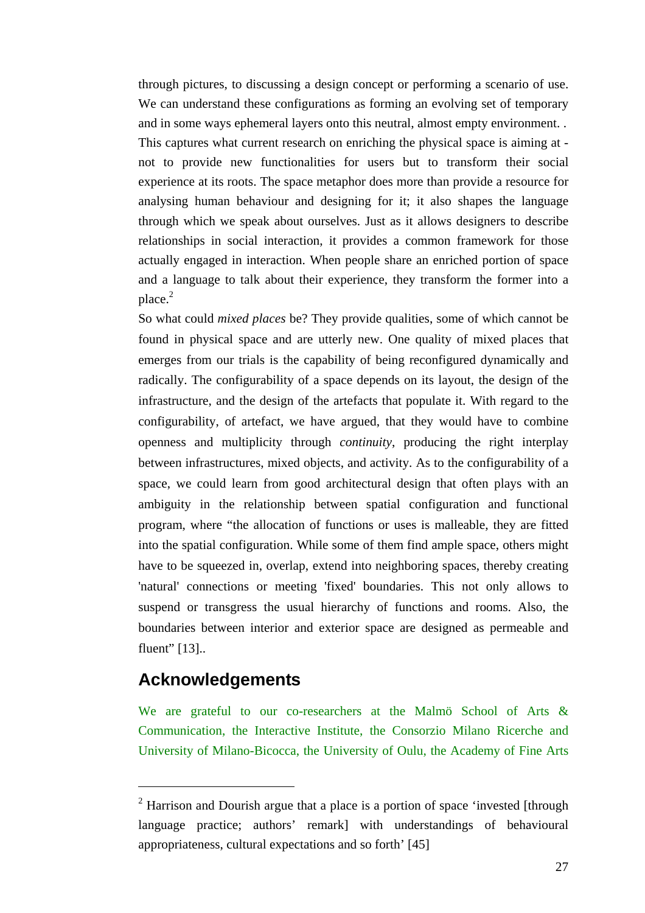through pictures, to discussing a design concept or performing a scenario of use. We can understand these configurations as forming an evolving set of temporary and in some ways ephemeral layers onto this neutral, almost empty environment. . This captures what current research on enriching the physical space is aiming at not to provide new functionalities for users but to transform their social experience at its roots. The space metaphor does more than provide a resource for analysing human behaviour and designing for it; it also shapes the language through which we speak about ourselves. Just as it allows designers to describe relationships in social interaction, it provides a common framework for those actually engaged in interaction. When people share an enriched portion of space and a language to talk about their experience, they transform the former into a place.<sup>2</sup>

So what could *mixed places* be? They provide qualities, some of which cannot be found in physical space and are utterly new. One quality of mixed places that emerges from our trials is the capability of being reconfigured dynamically and radically. The configurability of a space depends on its layout, the design of the infrastructure, and the design of the artefacts that populate it. With regard to the configurability, of artefact, we have argued, that they would have to combine openness and multiplicity through *continuity*, producing the right interplay between infrastructures, mixed objects, and activity. As to the configurability of a space, we could learn from good architectural design that often plays with an ambiguity in the relationship between spatial configuration and functional program, where "the allocation of functions or uses is malleable, they are fitted into the spatial configuration. While some of them find ample space, others might have to be squeezed in, overlap, extend into neighboring spaces, thereby creating 'natural' connections or meeting 'fixed' boundaries. This not only allows to suspend or transgress the usual hierarchy of functions and rooms. Also, the boundaries between interior and exterior space are designed as permeable and fluent" [13]..

# **Acknowledgements**

 $\overline{a}$ 

We are grateful to our co-researchers at the Malmö School of Arts & Communication, the Interactive Institute, the Consorzio Milano Ricerche and University of Milano-Bicocca, the University of Oulu, the Academy of Fine Arts

 $2$  Harrison and Dourish argue that a place is a portion of space 'invested [through language practice; authors' remark] with understandings of behavioural appropriateness, cultural expectations and so forth' [45]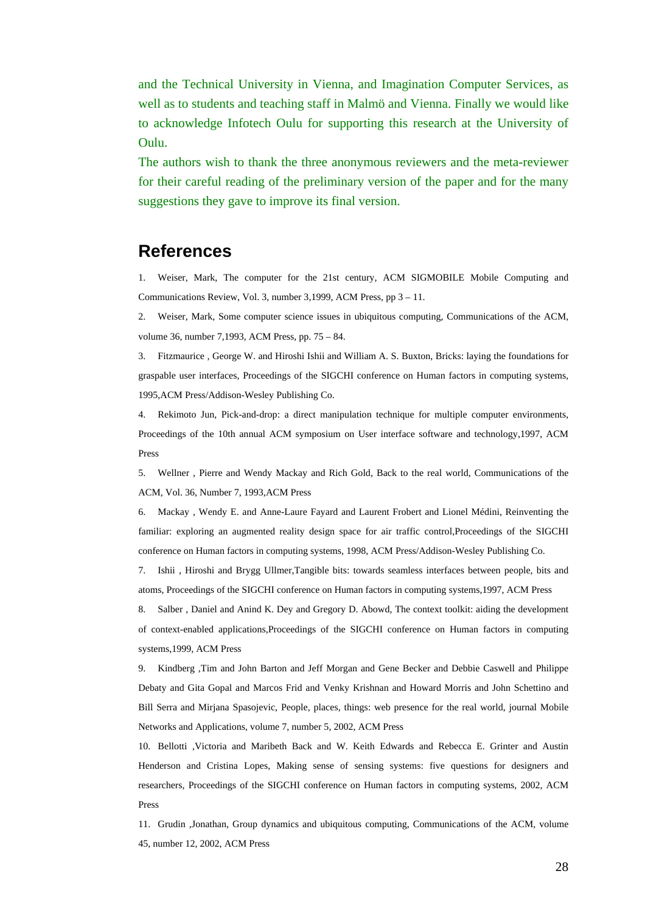and the Technical University in Vienna, and Imagination Computer Services, as well as to students and teaching staff in Malmö and Vienna. Finally we would like to acknowledge Infotech Oulu for supporting this research at the University of Oulu.

The authors wish to thank the three anonymous reviewers and the meta-reviewer for their careful reading of the preliminary version of the paper and for the many suggestions they gave to improve its final version.

# **References**

1. Weiser, Mark, The computer for the 21st century, ACM SIGMOBILE Mobile Computing and Communications Review, Vol. 3, number 3,1999, ACM Press, pp 3 – 11.

2. Weiser, Mark, Some computer science issues in ubiquitous computing, Communications of the ACM, volume 36, number 7,1993, ACM Press, pp. 75 – 84.

3. Fitzmaurice , George W. and Hiroshi Ishii and William A. S. Buxton, Bricks: laying the foundations for graspable user interfaces, Proceedings of the SIGCHI conference on Human factors in computing systems, 1995,ACM Press/Addison-Wesley Publishing Co.

4. Rekimoto Jun, Pick-and-drop: a direct manipulation technique for multiple computer environments, Proceedings of the 10th annual ACM symposium on User interface software and technology,1997, ACM Press

5. Wellner , Pierre and Wendy Mackay and Rich Gold, Back to the real world, Communications of the ACM, Vol. 36, Number 7, 1993,ACM Press

6. Mackay , Wendy E. and Anne-Laure Fayard and Laurent Frobert and Lionel Médini, Reinventing the familiar: exploring an augmented reality design space for air traffic control,Proceedings of the SIGCHI conference on Human factors in computing systems, 1998, ACM Press/Addison-Wesley Publishing Co.

7. Ishii , Hiroshi and Brygg Ullmer,Tangible bits: towards seamless interfaces between people, bits and atoms, Proceedings of the SIGCHI conference on Human factors in computing systems,1997, ACM Press

8. Salber , Daniel and Anind K. Dey and Gregory D. Abowd, The context toolkit: aiding the development of context-enabled applications,Proceedings of the SIGCHI conference on Human factors in computing systems,1999, ACM Press

9. Kindberg ,Tim and John Barton and Jeff Morgan and Gene Becker and Debbie Caswell and Philippe Debaty and Gita Gopal and Marcos Frid and Venky Krishnan and Howard Morris and John Schettino and Bill Serra and Mirjana Spasojevic, People, places, things: web presence for the real world, journal Mobile Networks and Applications, volume 7, number 5, 2002, ACM Press

10. Bellotti ,Victoria and Maribeth Back and W. Keith Edwards and Rebecca E. Grinter and Austin Henderson and Cristina Lopes, Making sense of sensing systems: five questions for designers and researchers, Proceedings of the SIGCHI conference on Human factors in computing systems, 2002, ACM Press

11. Grudin ,Jonathan, Group dynamics and ubiquitous computing, Communications of the ACM, volume 45, number 12, 2002, ACM Press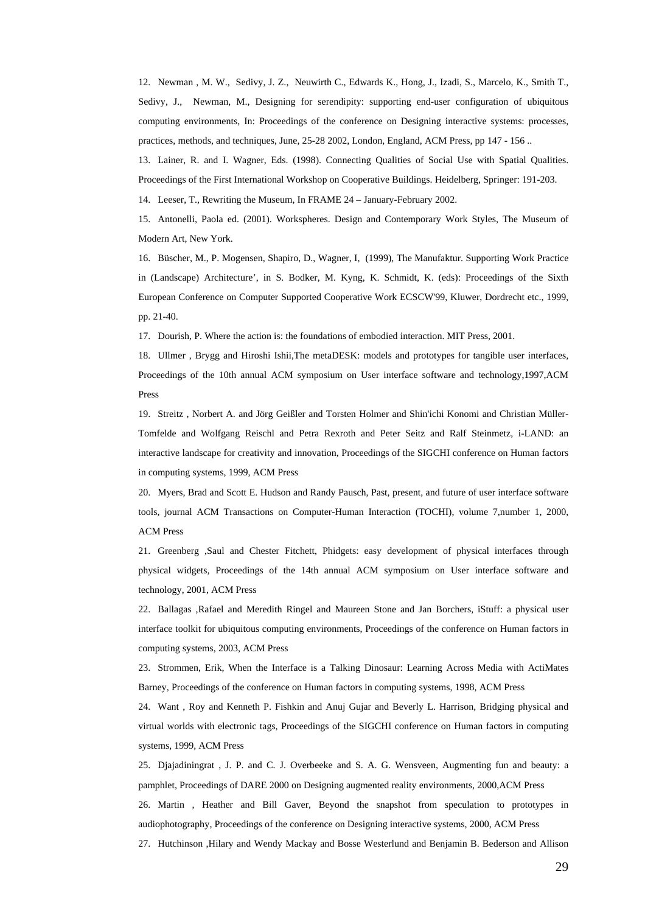12. Newman , M. W., Sedivy, J. Z., Neuwirth C., Edwards K., Hong, J., Izadi, S., Marcelo, K., Smith T., Sedivy, J., Newman, M., Designing for serendipity: supporting end-user configuration of ubiquitous computing environments, In: Proceedings of the conference on Designing interactive systems: processes, practices, methods, and techniques, June, 25-28 2002, London, England, ACM Press, pp 147 - 156 ..

13. Lainer, R. and I. Wagner, Eds. (1998). Connecting Qualities of Social Use with Spatial Qualities. Proceedings of the First International Workshop on Cooperative Buildings. Heidelberg, Springer: 191-203.

14. Leeser, T., Rewriting the Museum, In FRAME 24 – January-February 2002.

15. Antonelli, Paola ed. (2001). Workspheres. Design and Contemporary Work Styles, The Museum of Modern Art, New York.

16. Büscher, M., P. Mogensen, Shapiro, D., Wagner, I, (1999), The Manufaktur. Supporting Work Practice in (Landscape) Architecture', in S. Bodker, M. Kyng, K. Schmidt, K. (eds): Proceedings of the Sixth European Conference on Computer Supported Cooperative Work ECSCW'99, Kluwer, Dordrecht etc., 1999, pp. 21-40.

17. Dourish, P. Where the action is: the foundations of embodied interaction. MIT Press, 2001.

18. Ullmer , Brygg and Hiroshi Ishii,The metaDESK: models and prototypes for tangible user interfaces, Proceedings of the 10th annual ACM symposium on User interface software and technology,1997,ACM Press

19. Streitz , Norbert A. and Jörg Geißler and Torsten Holmer and Shin'ichi Konomi and Christian Müller-Tomfelde and Wolfgang Reischl and Petra Rexroth and Peter Seitz and Ralf Steinmetz, i-LAND: an interactive landscape for creativity and innovation, Proceedings of the SIGCHI conference on Human factors in computing systems, 1999, ACM Press

20. Myers, Brad and Scott E. Hudson and Randy Pausch, Past, present, and future of user interface software tools, journal ACM Transactions on Computer-Human Interaction (TOCHI), volume 7,number 1, 2000, ACM Press

21. Greenberg ,Saul and Chester Fitchett, Phidgets: easy development of physical interfaces through physical widgets, Proceedings of the 14th annual ACM symposium on User interface software and technology, 2001, ACM Press

22. Ballagas ,Rafael and Meredith Ringel and Maureen Stone and Jan Borchers, iStuff: a physical user interface toolkit for ubiquitous computing environments, Proceedings of the conference on Human factors in computing systems, 2003, ACM Press

23. Strommen, Erik, When the Interface is a Talking Dinosaur: Learning Across Media with ActiMates Barney, Proceedings of the conference on Human factors in computing systems, 1998, ACM Press

24. Want , Roy and Kenneth P. Fishkin and Anuj Gujar and Beverly L. Harrison, Bridging physical and virtual worlds with electronic tags, Proceedings of the SIGCHI conference on Human factors in computing systems, 1999, ACM Press

25. Djajadiningrat , J. P. and C. J. Overbeeke and S. A. G. Wensveen, Augmenting fun and beauty: a pamphlet, Proceedings of DARE 2000 on Designing augmented reality environments, 2000,ACM Press

26. Martin , Heather and Bill Gaver, Beyond the snapshot from speculation to prototypes in audiophotography, Proceedings of the conference on Designing interactive systems, 2000, ACM Press

27. Hutchinson ,Hilary and Wendy Mackay and Bosse Westerlund and Benjamin B. Bederson and Allison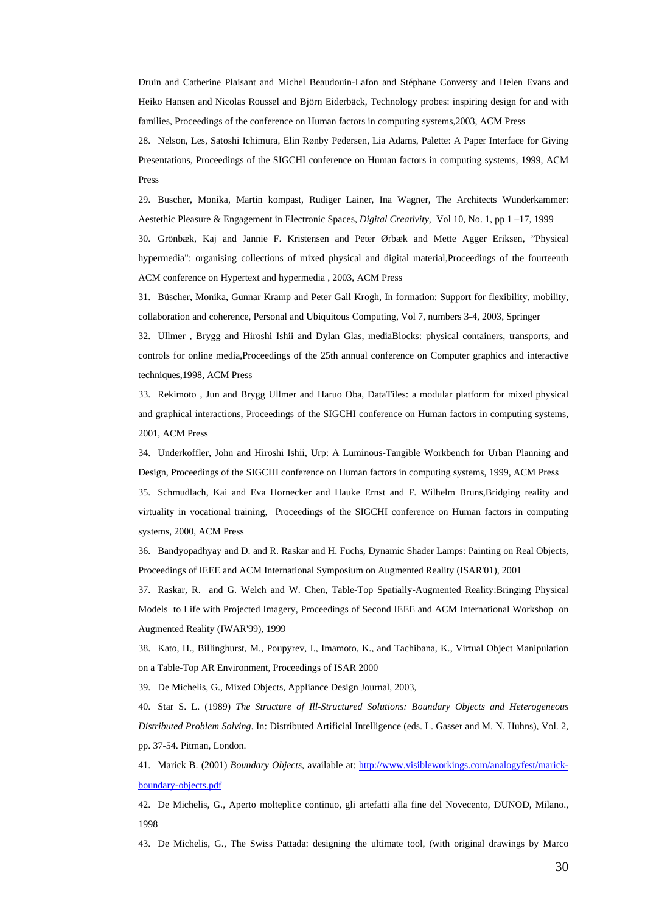Druin and Catherine Plaisant and Michel Beaudouin-Lafon and Stéphane Conversy and Helen Evans and Heiko Hansen and Nicolas Roussel and Björn Eiderbäck, Technology probes: inspiring design for and with families, Proceedings of the conference on Human factors in computing systems,2003, ACM Press

28. Nelson, Les, Satoshi Ichimura, Elin Rønby Pedersen, Lia Adams, Palette: A Paper Interface for Giving Presentations, Proceedings of the SIGCHI conference on Human factors in computing systems, 1999, ACM Press

29. Buscher, Monika, Martin kompast, Rudiger Lainer, Ina Wagner, The Architects Wunderkammer: Aestethic Pleasure & Engagement in Electronic Spaces, *Digital Creativity*, Vol 10, No. 1, pp 1 –17, 1999 30. Grönbæk, Kaj and Jannie F. Kristensen and Peter Ørbæk and Mette Agger Eriksen, "Physical hypermedia": organising collections of mixed physical and digital material,Proceedings of the fourteenth ACM conference on Hypertext and hypermedia , 2003, ACM Press

31. Büscher, Monika, Gunnar Kramp and Peter Gall Krogh, In formation: Support for flexibility, mobility, collaboration and coherence, Personal and Ubiquitous Computing, Vol 7, numbers 3-4, 2003, Springer

32. Ullmer , Brygg and Hiroshi Ishii and Dylan Glas, mediaBlocks: physical containers, transports, and controls for online media,Proceedings of the 25th annual conference on Computer graphics and interactive techniques,1998, ACM Press

33. Rekimoto , Jun and Brygg Ullmer and Haruo Oba, DataTiles: a modular platform for mixed physical and graphical interactions, Proceedings of the SIGCHI conference on Human factors in computing systems, 2001, ACM Press

34. Underkoffler, John and Hiroshi Ishii, Urp: A Luminous-Tangible Workbench for Urban Planning and Design, Proceedings of the SIGCHI conference on Human factors in computing systems, 1999, ACM Press

35. Schmudlach, Kai and Eva Hornecker and Hauke Ernst and F. Wilhelm Bruns,Bridging reality and virtuality in vocational training, Proceedings of the SIGCHI conference on Human factors in computing systems, 2000, ACM Press

36. Bandyopadhyay and D. and R. Raskar and H. Fuchs, Dynamic Shader Lamps: Painting on Real Objects, Proceedings of IEEE and ACM International Symposium on Augmented Reality (ISAR'01), 2001

37. Raskar, R. and G. Welch and W. Chen, Table-Top Spatially-Augmented Reality:Bringing Physical Models to Life with Projected Imagery, Proceedings of Second IEEE and ACM International Workshop on Augmented Reality (IWAR'99), 1999

38. Kato, H., Billinghurst, M., Poupyrev, I., Imamoto, K., and Tachibana, K., Virtual Object Manipulation on a Table-Top AR Environment, Proceedings of ISAR 2000

39. De Michelis, G., Mixed Objects, Appliance Design Journal, 2003,

40. Star S. L. (1989) *The Structure of Ill-Structured Solutions: Boundary Objects and Heterogeneous Distributed Problem Solving*. In: Distributed Artificial Intelligence (eds. L. Gasser and M. N. Huhns), Vol. 2, pp. 37-54. Pitman, London.

41. Marick B. (2001) *Boundary Objects*, available at: http://www.visibleworkings.com/analogyfest/marickboundary-objects.pdf

42. De Michelis, G., Aperto molteplice continuo, gli artefatti alla fine del Novecento, DUNOD, Milano., 1998

43. De Michelis, G., The Swiss Pattada: designing the ultimate tool, (with original drawings by Marco